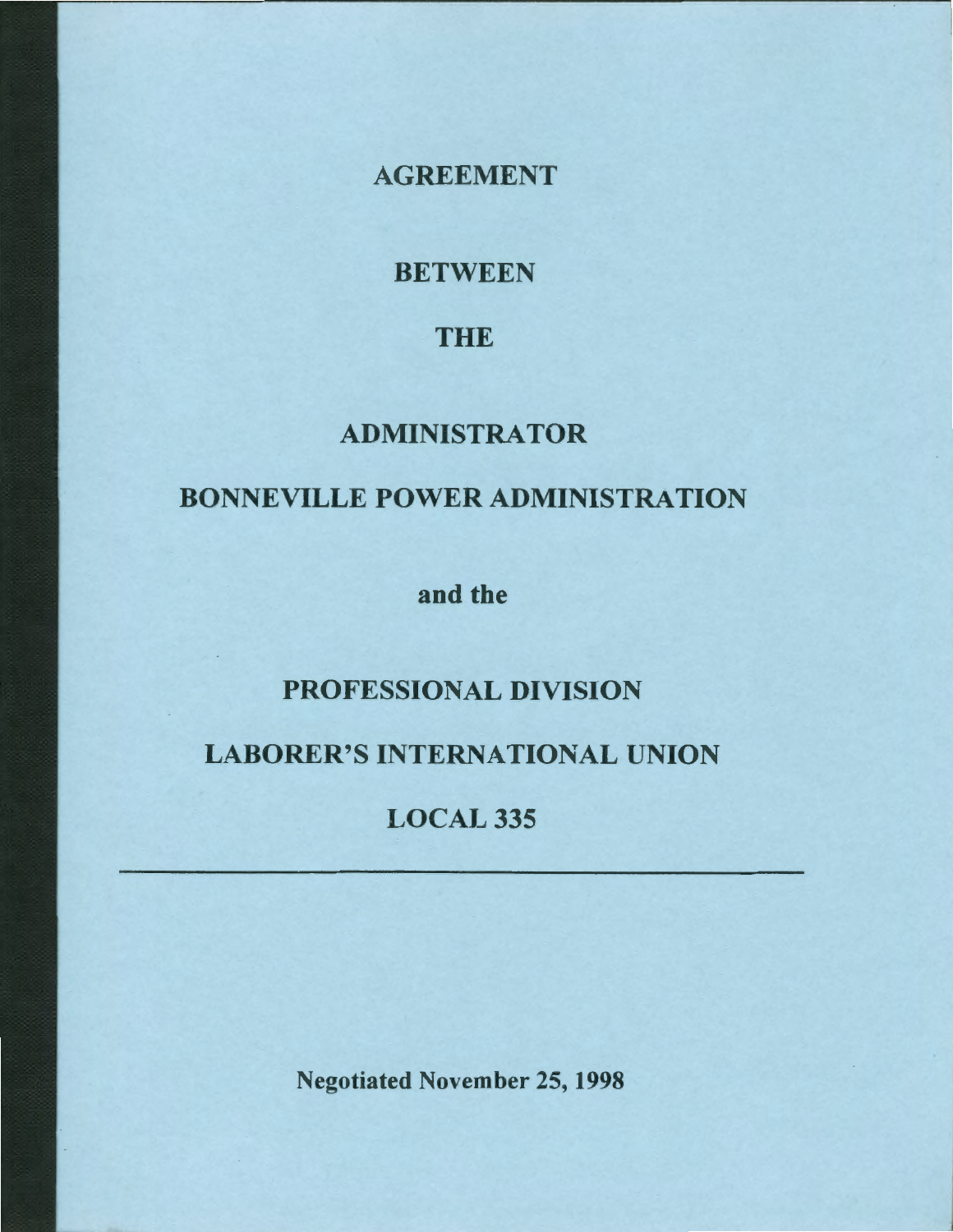AGREEMENT

**BETWEEN** 

# THE

# ADMINISTRATOR

# BONNEVILLE POWER ADMINISTRATION

and the

# PROFESSIONAL DIVISION

# LABORER'S INTERNATIONAL UNION

**LOCAL 335** 

Negotiated November 25, 1998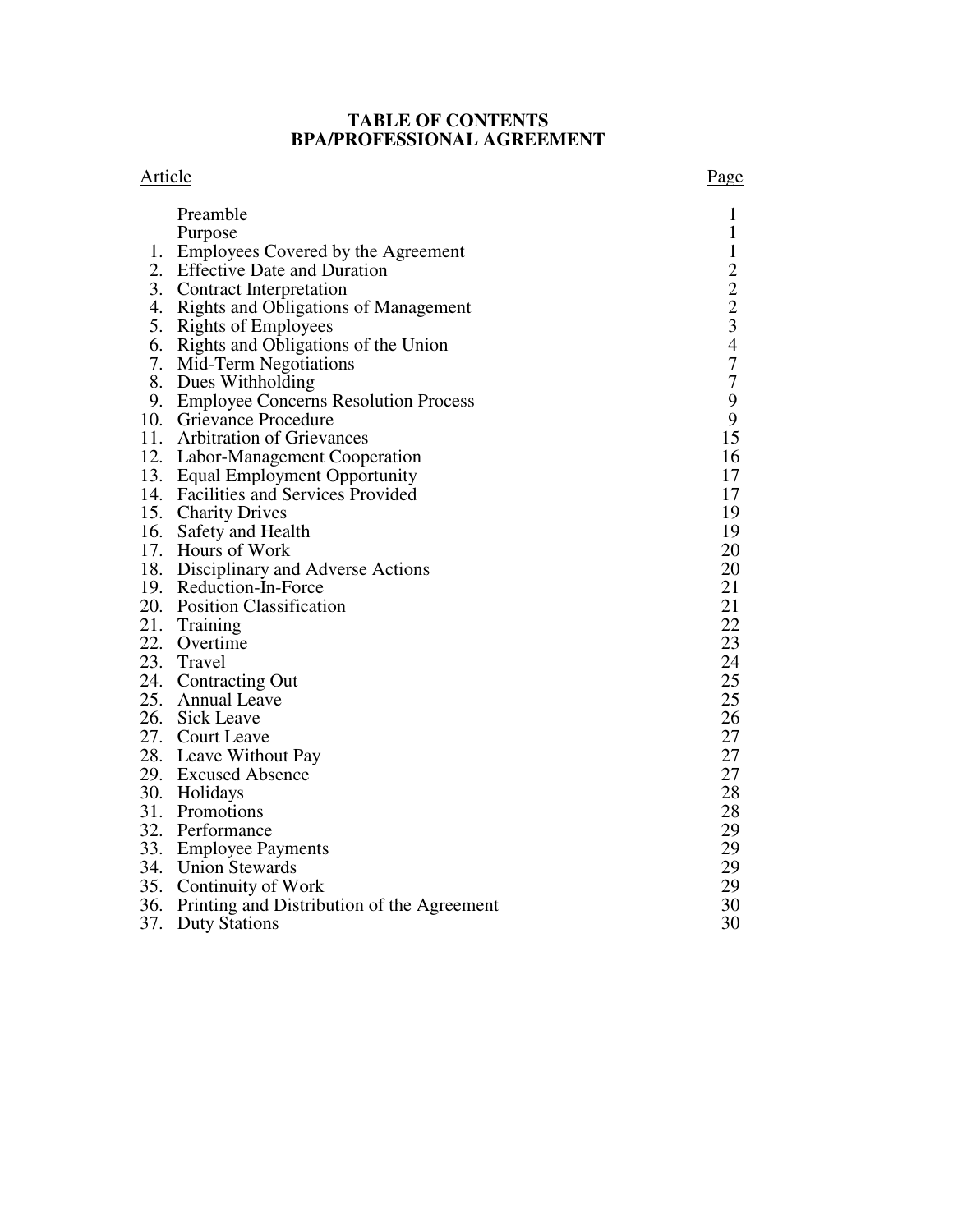## **TABLE OF CONTENTS BPA/PROFESSIONAL AGREEMENT**

#### Article Page

|     | Preamble                                       |                                           |
|-----|------------------------------------------------|-------------------------------------------|
|     |                                                | $\mathbf{1}$                              |
|     | Purpose                                        | $\mathbf 1$                               |
|     | 1. Employees Covered by the Agreement          | $\frac{1}{2}$ $\frac{2}{3}$ $\frac{3}{4}$ |
|     | 2. Effective Date and Duration                 |                                           |
|     | 3. Contract Interpretation                     |                                           |
|     | 4. Rights and Obligations of Management        |                                           |
|     | 5. Rights of Employees                         |                                           |
|     | 6. Rights and Obligations of the Union         |                                           |
|     | 7. Mid-Term Negotiations                       | $\boldsymbol{7}$                          |
|     | 8. Dues Withholding                            | $\boldsymbol{7}$                          |
|     | 9. Employee Concerns Resolution Process        | 9                                         |
|     | 10. Grievance Procedure                        | $\boldsymbol{9}$                          |
|     | 11. Arbitration of Grievances                  | 15                                        |
|     | 12. Labor-Management Cooperation               | 16                                        |
|     | 13. Equal Employment Opportunity               | 17                                        |
|     | 14. Facilities and Services Provided           | 17                                        |
|     | 15. Charity Drives                             | 19                                        |
|     | 16. Safety and Health                          | 19                                        |
|     | 17. Hours of Work                              | 20                                        |
|     | 18. Disciplinary and Adverse Actions           | 20                                        |
|     | 19. Reduction-In-Force                         | 21                                        |
|     | 20. Position Classification                    | 21                                        |
|     | 21. Training                                   | 22                                        |
|     | 22. Overtime                                   | 23                                        |
|     | 23. Travel                                     | 24                                        |
|     | 24. Contracting Out                            | 25                                        |
|     | 25. Annual Leave                               | 25                                        |
|     | 26. Sick Leave                                 | 26                                        |
|     | 27. Court Leave                                | 27                                        |
|     | 28. Leave Without Pay                          | 27                                        |
|     | 29. Excused Absence                            | 27                                        |
|     | 30. Holidays                                   | 28                                        |
|     | 31. Promotions                                 | 28                                        |
|     | 32. Performance                                | 29                                        |
|     | 33. Employee Payments                          | 29                                        |
|     | 34. Union Stewards                             | 29                                        |
|     | 35. Continuity of Work                         | 29                                        |
|     | 36. Printing and Distribution of the Agreement | 30                                        |
| 37. | <b>Duty Stations</b>                           | 30                                        |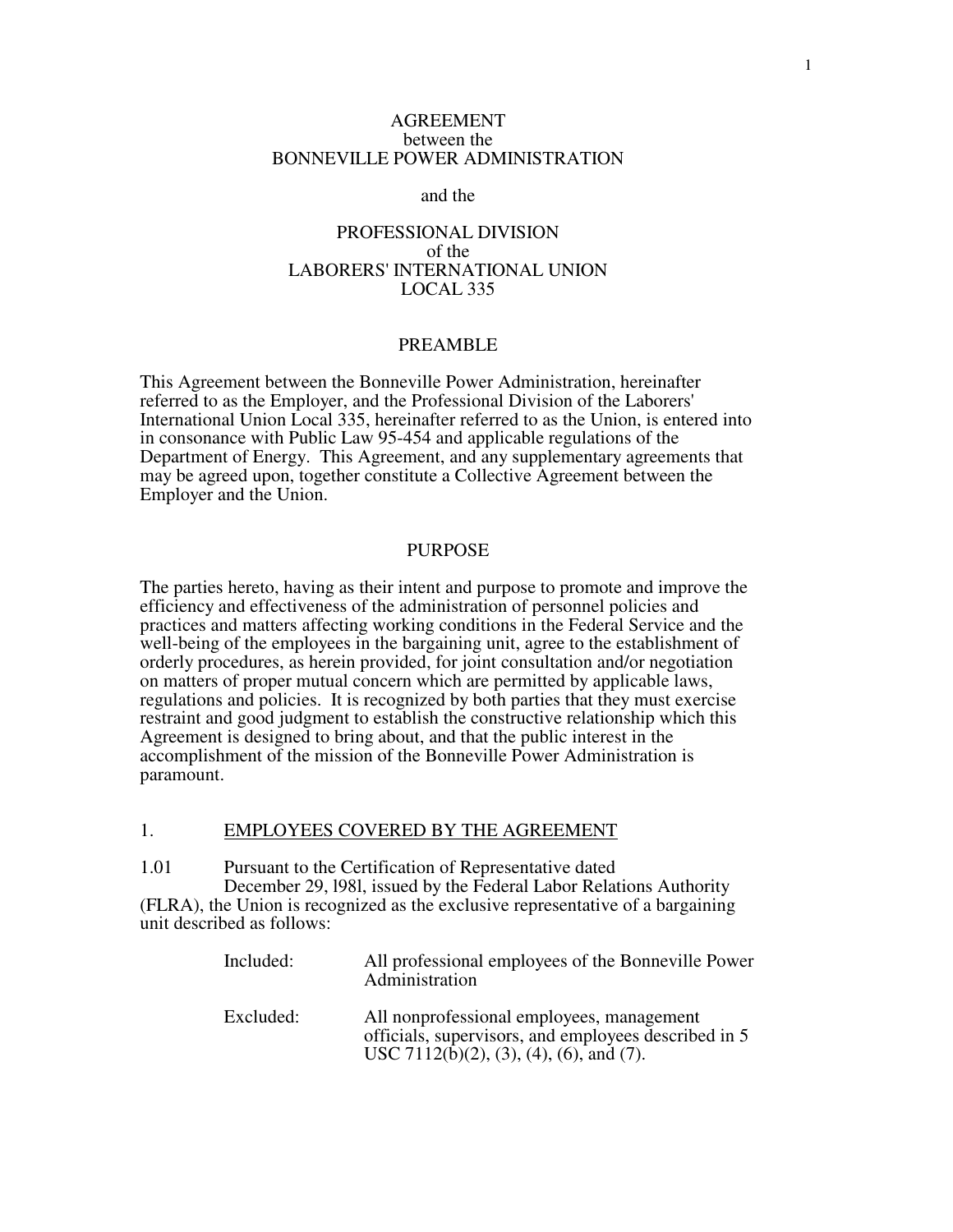#### AGREEMENT between the BONNEVILLE POWER ADMINISTRATION

#### and the

#### PROFESSIONAL DIVISION of the LABORERS' INTERNATIONAL UNION LOCAL 335

#### PREAMBLE

This Agreement between the Bonneville Power Administration, hereinafter referred to as the Employer, and the Professional Division of the Laborers' International Union Local 335, hereinafter referred to as the Union, is entered into in consonance with Public Law 95-454 and applicable regulations of the Department of Energy. This Agreement, and any supplementary agreements that may be agreed upon, together constitute a Collective Agreement between the Employer and the Union.

#### PURPOSE

The parties hereto, having as their intent and purpose to promote and improve the efficiency and effectiveness of the administration of personnel policies and practices and matters affecting working conditions in the Federal Service and the well-being of the employees in the bargaining unit, agree to the establishment of orderly procedures, as herein provided, for joint consultation and/or negotiation on matters of proper mutual concern which are permitted by applicable laws, regulations and policies. It is recognized by both parties that they must exercise restraint and good judgment to establish the constructive relationship which this Agreement is designed to bring about, and that the public interest in the accomplishment of the mission of the Bonneville Power Administration is paramount.

#### 1. EMPLOYEES COVERED BY THE AGREEMENT

1.01 Pursuant to the Certification of Representative dated December 29, l98l, issued by the Federal Labor Relations Authority (FLRA), the Union is recognized as the exclusive representative of a bargaining unit described as follows:

| Included: | All professional employees of the Bonneville Power<br>Administration                                                                         |
|-----------|----------------------------------------------------------------------------------------------------------------------------------------------|
| Excluded: | All nonprofessional employees, management<br>officials, supervisors, and employees described in 5<br>USC 7112(b)(2), (3), (4), (6), and (7). |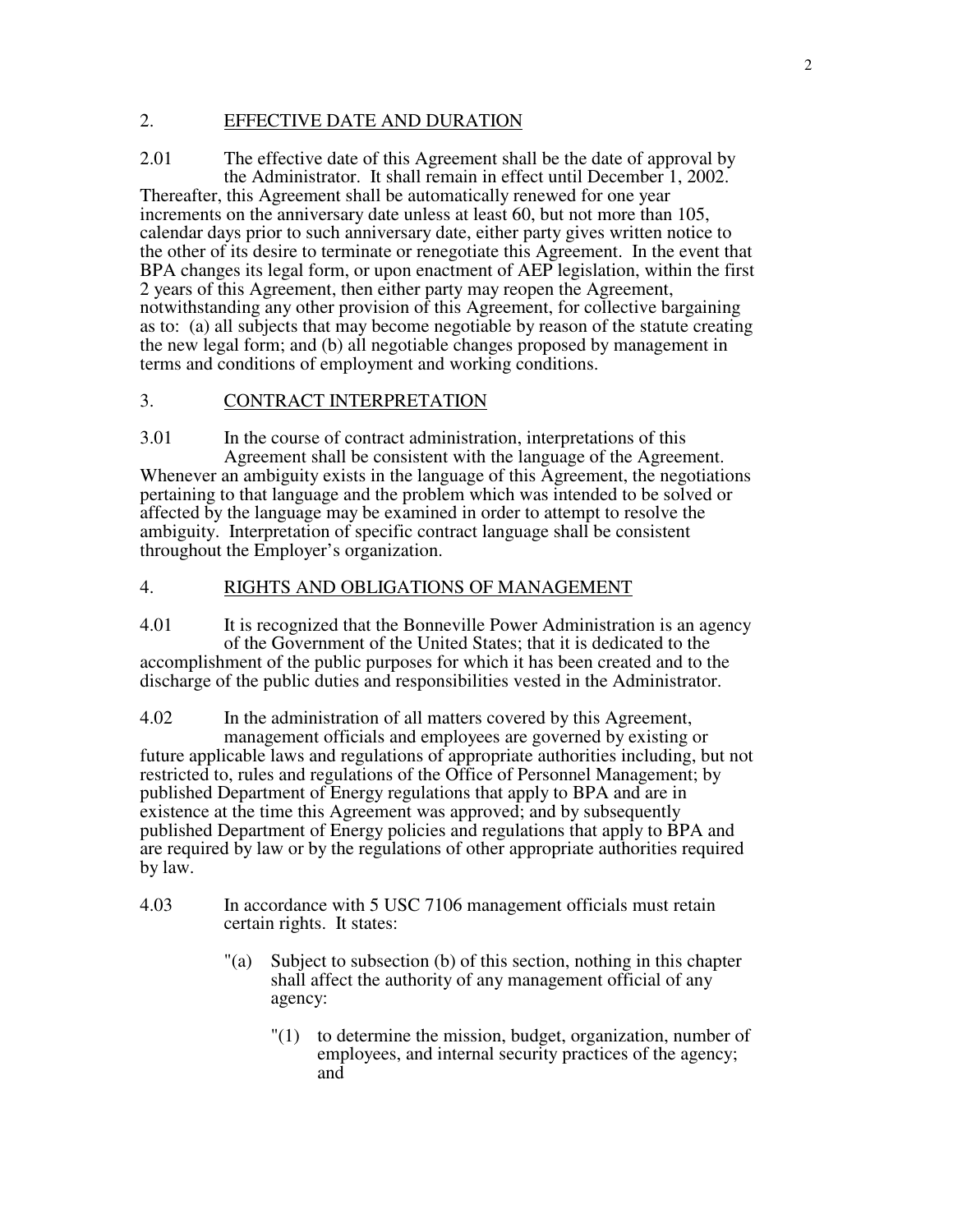### 2. EFFECTIVE DATE AND DURATION

2.01 The effective date of this Agreement shall be the date of approval by the Administrator. It shall remain in effect until December 1, 2002.

Thereafter, this Agreement shall be automatically renewed for one year increments on the anniversary date unless at least 60, but not more than 105, calendar days prior to such anniversary date, either party gives written notice to the other of its desire to terminate or renegotiate this Agreement. In the event that BPA changes its legal form, or upon enactment of AEP legislation, within the first 2 years of this Agreement, then either party may reopen the Agreement, notwithstanding any other provision of this Agreement, for collective bargaining as to: (a) all subjects that may become negotiable by reason of the statute creating the new legal form; and (b) all negotiable changes proposed by management in terms and conditions of employment and working conditions.

#### 3. CONTRACT INTERPRETATION

3.01 In the course of contract administration, interpretations of this Agreement shall be consistent with the language of the Agreement. Whenever an ambiguity exists in the language of this Agreement, the negotiations pertaining to that language and the problem which was intended to be solved or affected by the language may be examined in order to attempt to resolve the ambiguity. Interpretation of specific contract language shall be consistent throughout the Employer's organization.

#### 4. RIGHTS AND OBLIGATIONS OF MANAGEMENT

4.01 It is recognized that the Bonneville Power Administration is an agency of the Government of the United States; that it is dedicated to the accomplishment of the public purposes for which it has been created and to the discharge of the public duties and responsibilities vested in the Administrator.

4.02 In the administration of all matters covered by this Agreement,

 management officials and employees are governed by existing or future applicable laws and regulations of appropriate authorities including, but not restricted to, rules and regulations of the Office of Personnel Management; by published Department of Energy regulations that apply to BPA and are in existence at the time this Agreement was approved; and by subsequently published Department of Energy policies and regulations that apply to BPA and are required by law or by the regulations of other appropriate authorities required by law.

- 4.03 In accordance with 5 USC 7106 management officials must retain certain rights. It states:
	- "(a) Subject to subsection (b) of this section, nothing in this chapter shall affect the authority of any management official of any agency:
		- "(1) to determine the mission, budget, organization, number of employees, and internal security practices of the agency; and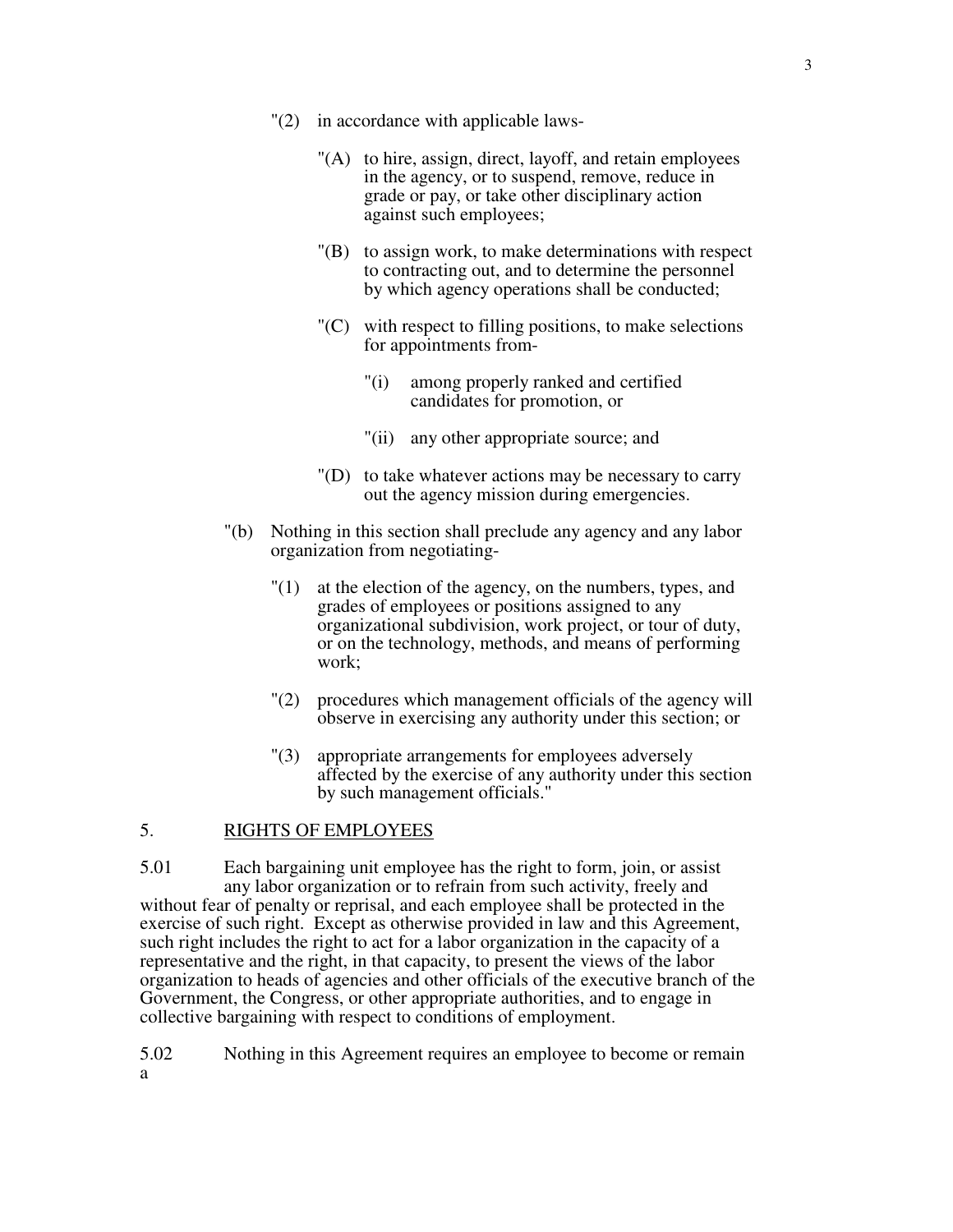- "(A) to hire, assign, direct, layoff, and retain employees in the agency, or to suspend, remove, reduce in grade or pay, or take other disciplinary action against such employees;
- "(B) to assign work, to make determinations with respect to contracting out, and to determine the personnel by which agency operations shall be conducted;
- "(C) with respect to filling positions, to make selections for appointments from-
	- "(i) among properly ranked and certified candidates for promotion, or
	- "(ii) any other appropriate source; and
- "(D) to take whatever actions may be necessary to carry out the agency mission during emergencies.
- "(b) Nothing in this section shall preclude any agency and any labor organization from negotiating-
	- "(1) at the election of the agency, on the numbers, types, and grades of employees or positions assigned to any organizational subdivision, work project, or tour of duty, or on the technology, methods, and means of performing work;
	- "(2) procedures which management officials of the agency will observe in exercising any authority under this section; or
	- "(3) appropriate arrangements for employees adversely affected by the exercise of any authority under this section by such management officials."

#### 5. RIGHTS OF EMPLOYEES

5.01 Each bargaining unit employee has the right to form, join, or assist any labor organization or to refrain from such activity, freely and without fear of penalty or reprisal, and each employee shall be protected in the exercise of such right. Except as otherwise provided in law and this Agreement, such right includes the right to act for a labor organization in the capacity of a representative and the right, in that capacity, to present the views of the labor organization to heads of agencies and other officials of the executive branch of the Government, the Congress, or other appropriate authorities, and to engage in collective bargaining with respect to conditions of employment.

5.02 Nothing in this Agreement requires an employee to become or remain a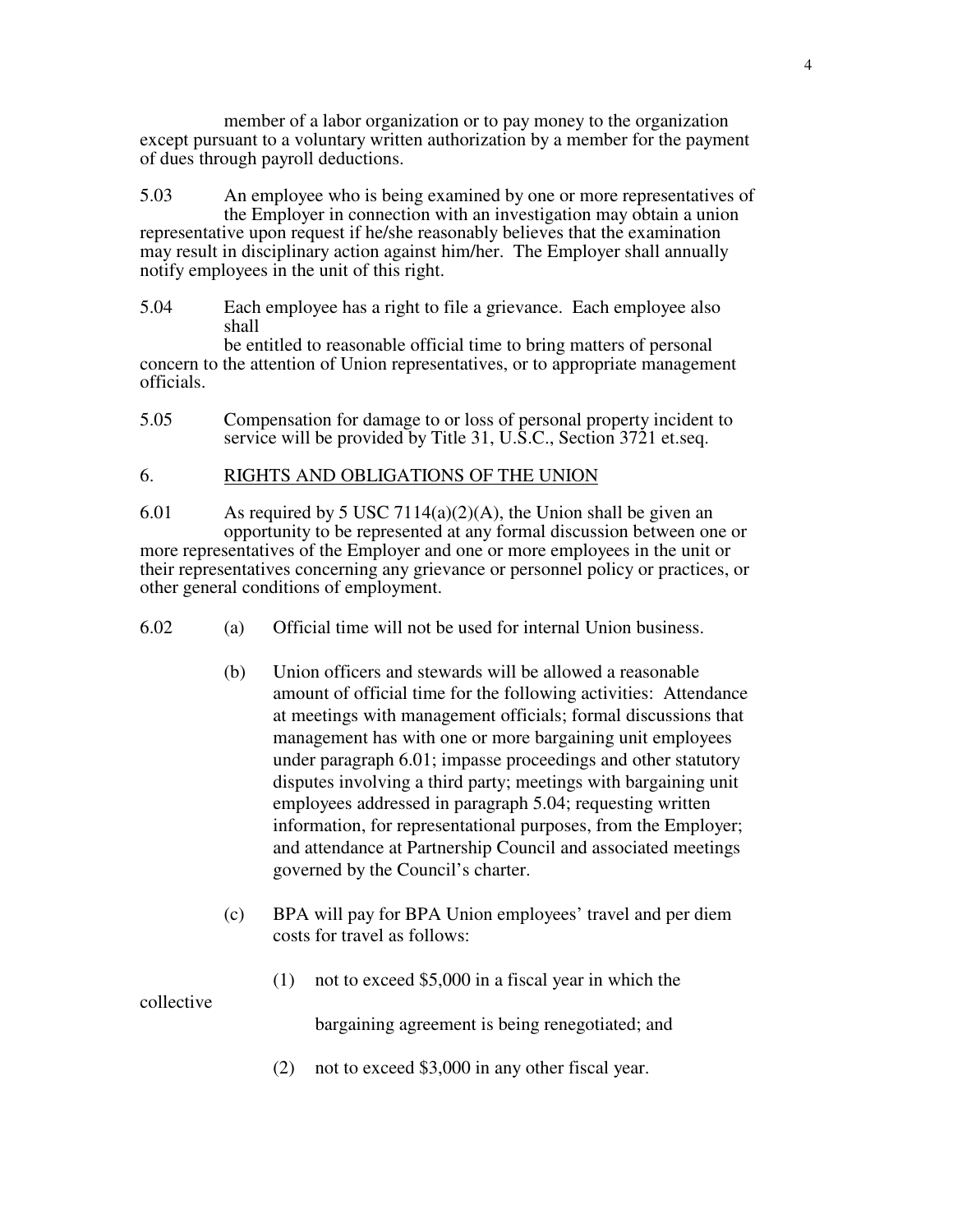member of a labor organization or to pay money to the organization except pursuant to a voluntary written authorization by a member for the payment of dues through payroll deductions.

5.03 An employee who is being examined by one or more representatives of the Employer in connection with an investigation may obtain a union representative upon request if he/she reasonably believes that the examination may result in disciplinary action against him/her. The Employer shall annually notify employees in the unit of this right.

5.04 Each employee has a right to file a grievance. Each employee also shall

 be entitled to reasonable official time to bring matters of personal concern to the attention of Union representatives, or to appropriate management officials.

5.05 Compensation for damage to or loss of personal property incident to service will be provided by Title 31, U.S.C., Section 3721 et.seq.

## 6. RIGHTS AND OBLIGATIONS OF THE UNION

- 6.01 As required by 5 USC 7114(a)(2)(A), the Union shall be given an opportunity to be represented at any formal discussion between one or more representatives of the Employer and one or more employees in the unit or their representatives concerning any grievance or personnel policy or practices, or other general conditions of employment.
- 6.02 (a) Official time will not be used for internal Union business.
	- (b) Union officers and stewards will be allowed a reasonable amount of official time for the following activities: Attendance at meetings with management officials; formal discussions that management has with one or more bargaining unit employees under paragraph 6.01; impasse proceedings and other statutory disputes involving a third party; meetings with bargaining unit employees addressed in paragraph 5.04; requesting written information, for representational purposes, from the Employer; and attendance at Partnership Council and associated meetings governed by the Council's charter.
	- (c) BPA will pay for BPA Union employees' travel and per diem costs for travel as follows:
		- (1) not to exceed \$5,000 in a fiscal year in which the

collective

bargaining agreement is being renegotiated; and

(2) not to exceed \$3,000 in any other fiscal year.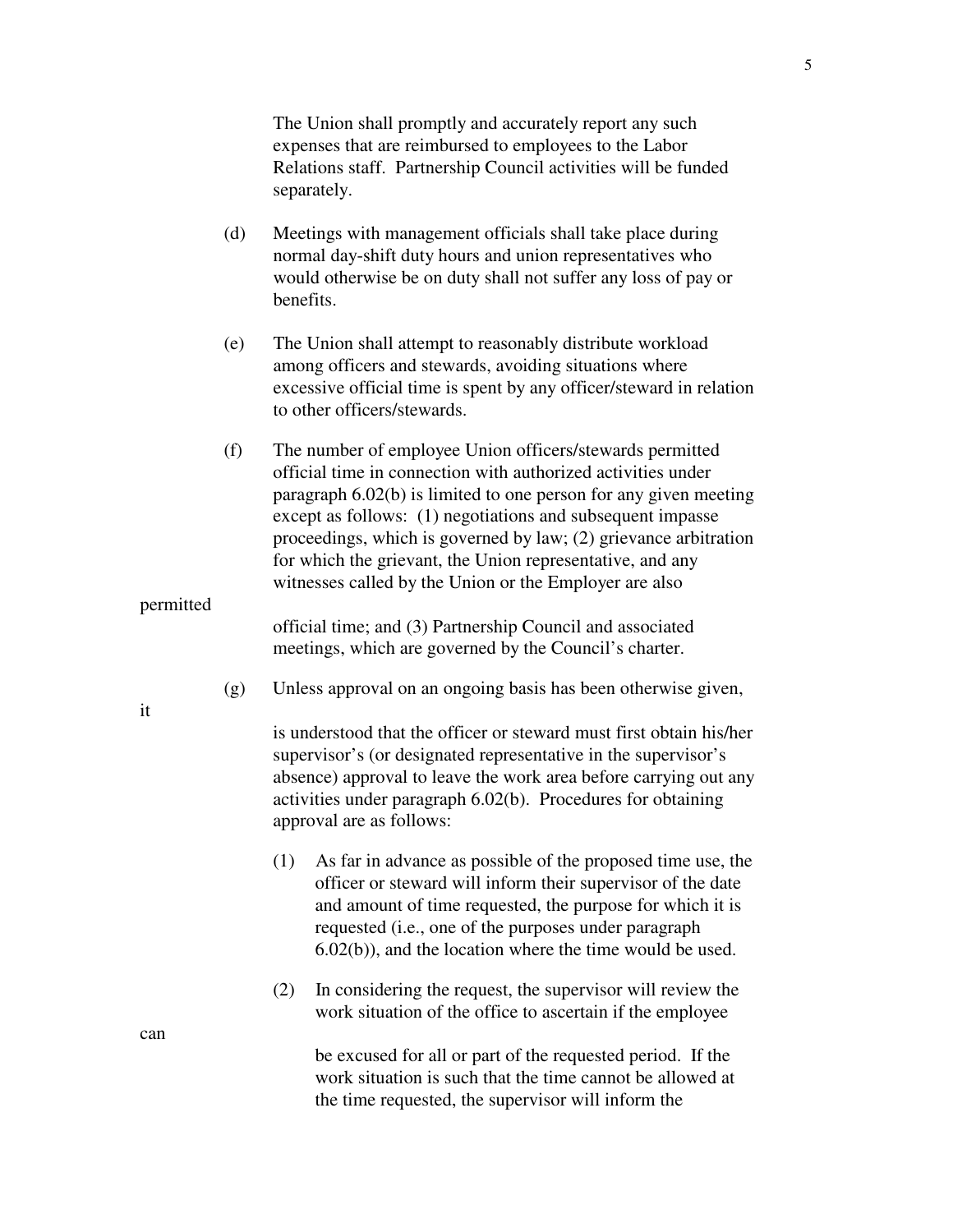The Union shall promptly and accurately report any such expenses that are reimbursed to employees to the Labor Relations staff. Partnership Council activities will be funded separately.

- (d) Meetings with management officials shall take place during normal day-shift duty hours and union representatives who would otherwise be on duty shall not suffer any loss of pay or benefits.
- (e) The Union shall attempt to reasonably distribute workload among officers and stewards, avoiding situations where excessive official time is spent by any officer/steward in relation to other officers/stewards.
- (f) The number of employee Union officers/stewards permitted official time in connection with authorized activities under paragraph 6.02(b) is limited to one person for any given meeting except as follows: (1) negotiations and subsequent impasse proceedings, which is governed by law; (2) grievance arbitration for which the grievant, the Union representative, and any witnesses called by the Union or the Employer are also

permitted

 official time; and (3) Partnership Council and associated meetings, which are governed by the Council's charter.

(g) Unless approval on an ongoing basis has been otherwise given,

 is understood that the officer or steward must first obtain his/her supervisor's (or designated representative in the supervisor's absence) approval to leave the work area before carrying out any activities under paragraph 6.02(b). Procedures for obtaining approval are as follows:

- (1) As far in advance as possible of the proposed time use, the officer or steward will inform their supervisor of the date and amount of time requested, the purpose for which it is requested (i.e., one of the purposes under paragraph 6.02(b)), and the location where the time would be used.
- (2) In considering the request, the supervisor will review the work situation of the office to ascertain if the employee

 be excused for all or part of the requested period. If the work situation is such that the time cannot be allowed at the time requested, the supervisor will inform the

it

can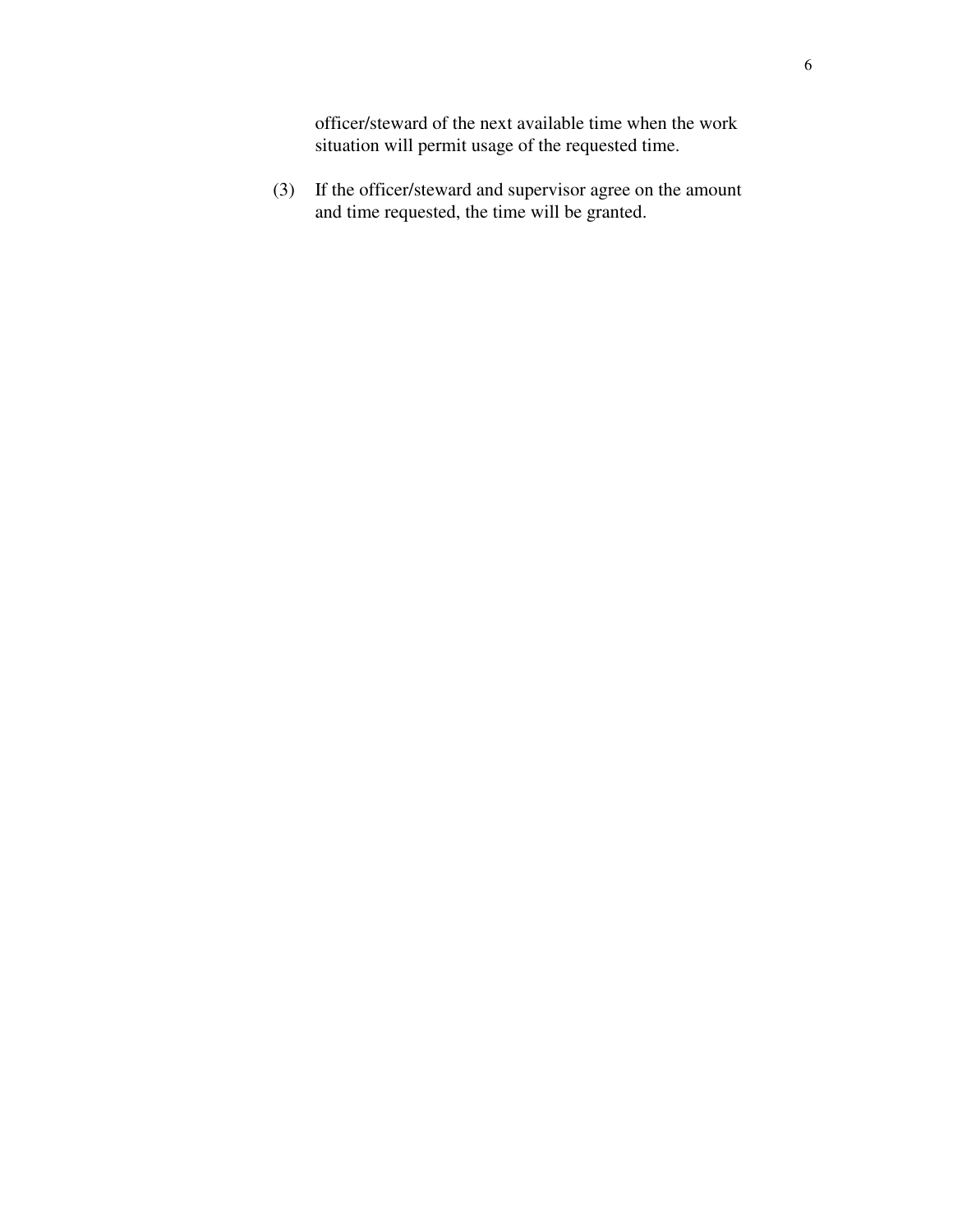officer/steward of the next available time when the work situation will permit usage of the requested time.

 (3) If the officer/steward and supervisor agree on the amount and time requested, the time will be granted.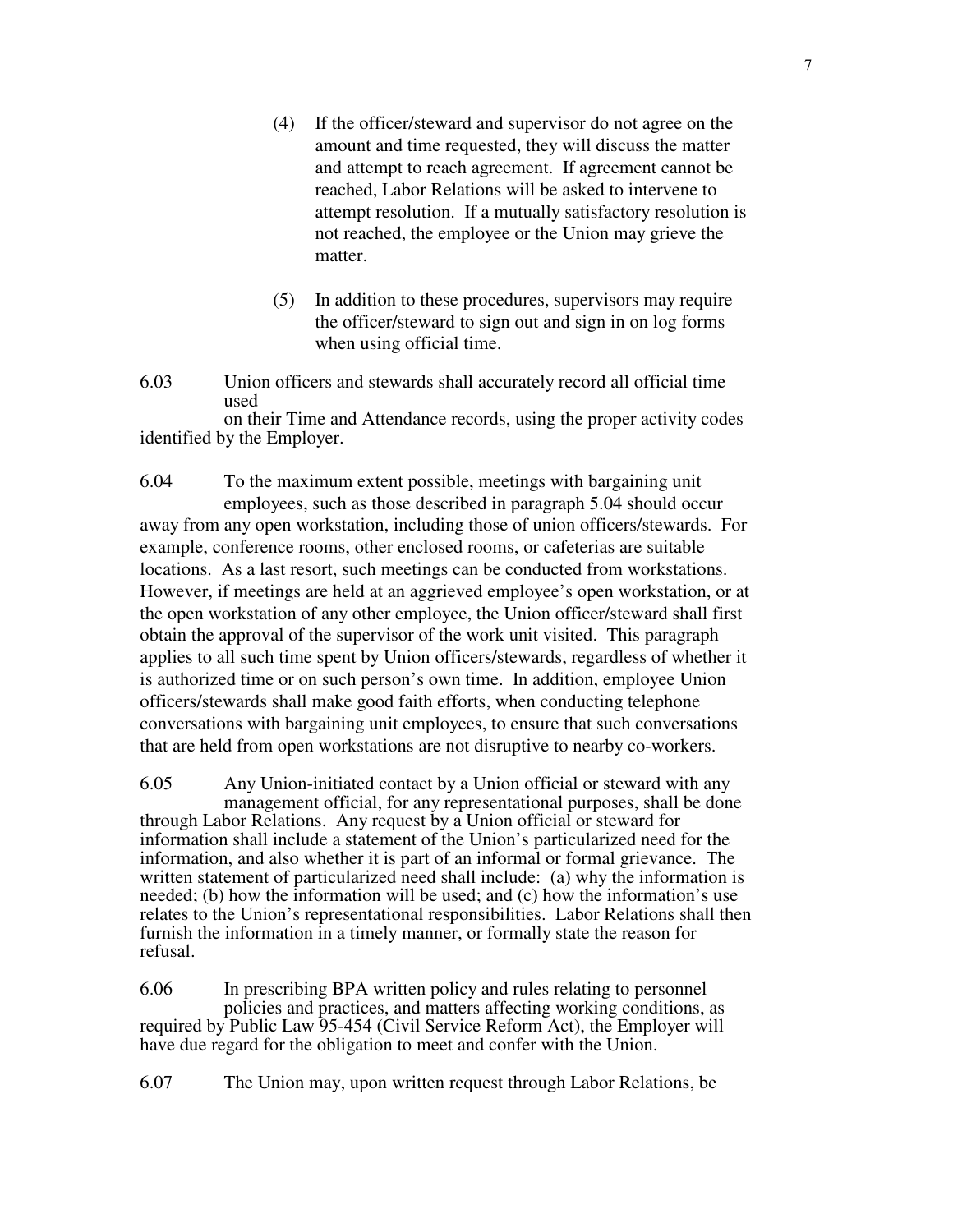- (4) If the officer/steward and supervisor do not agree on the amount and time requested, they will discuss the matter and attempt to reach agreement. If agreement cannot be reached, Labor Relations will be asked to intervene to attempt resolution. If a mutually satisfactory resolution is not reached, the employee or the Union may grieve the matter.
- (5) In addition to these procedures, supervisors may require the officer/steward to sign out and sign in on log forms when using official time.
- 6.03 Union officers and stewards shall accurately record all official time used

 on their Time and Attendance records, using the proper activity codes identified by the Employer.

6.04 To the maximum extent possible, meetings with bargaining unit employees, such as those described in paragraph 5.04 should occur away from any open workstation, including those of union officers/stewards. For example, conference rooms, other enclosed rooms, or cafeterias are suitable locations. As a last resort, such meetings can be conducted from workstations. However, if meetings are held at an aggrieved employee's open workstation, or at the open workstation of any other employee, the Union officer/steward shall first obtain the approval of the supervisor of the work unit visited. This paragraph applies to all such time spent by Union officers/stewards, regardless of whether it is authorized time or on such person's own time. In addition, employee Union officers/stewards shall make good faith efforts, when conducting telephone conversations with bargaining unit employees, to ensure that such conversations that are held from open workstations are not disruptive to nearby co-workers.

6.05 Any Union-initiated contact by a Union official or steward with any management official, for any representational purposes, shall be done through Labor Relations. Any request by a Union official or steward for information shall include a statement of the Union's particularized need for the information, and also whether it is part of an informal or formal grievance. The written statement of particularized need shall include: (a) why the information is needed; (b) how the information will be used; and (c) how the information's use relates to the Union's representational responsibilities. Labor Relations shall then furnish the information in a timely manner, or formally state the reason for refusal.

6.06 In prescribing BPA written policy and rules relating to personnel policies and practices, and matters affecting working conditions, as required by Public Law 95-454 (Civil Service Reform Act), the Employer will have due regard for the obligation to meet and confer with the Union.

6.07 The Union may, upon written request through Labor Relations, be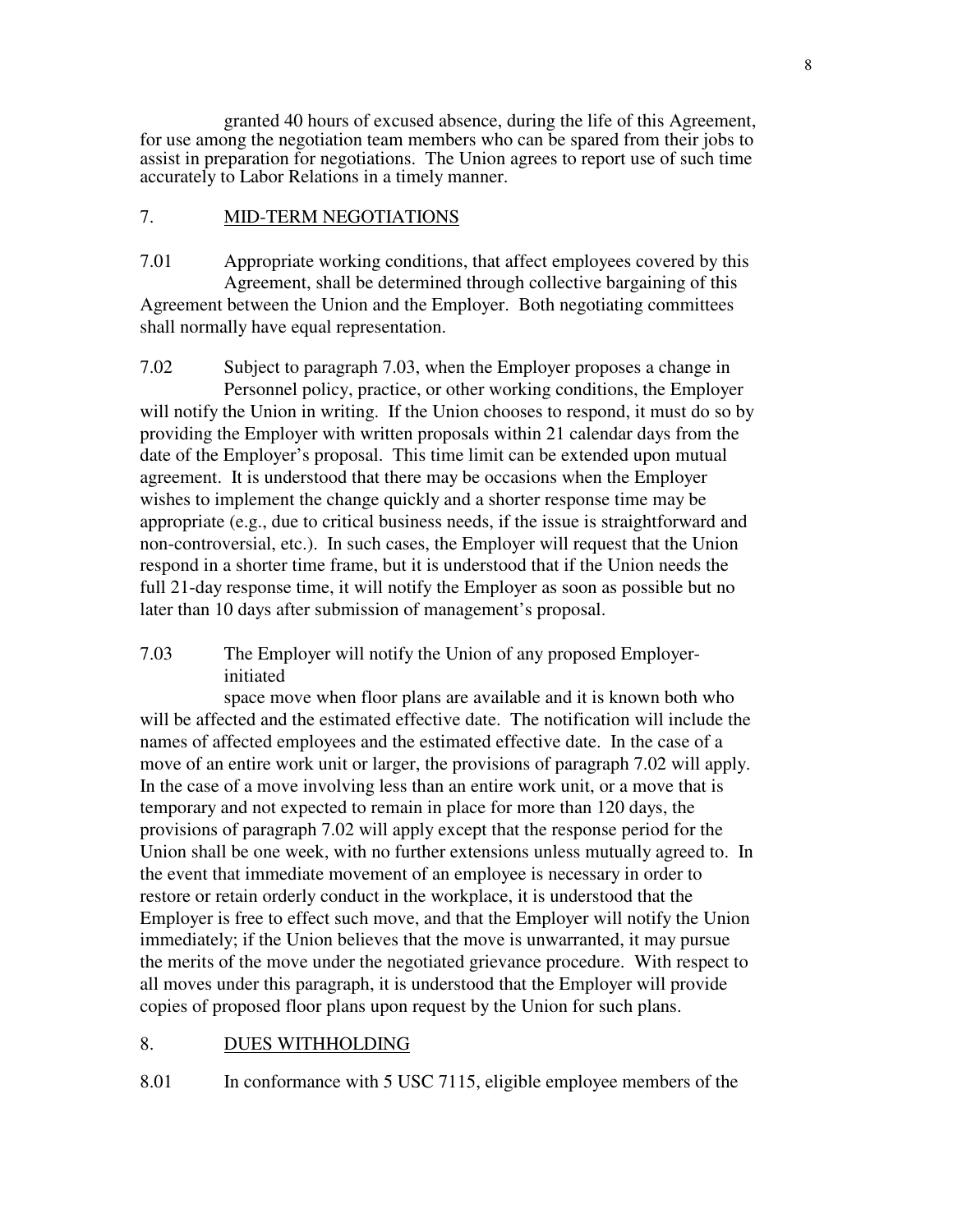granted 40 hours of excused absence, during the life of this Agreement, for use among the negotiation team members who can be spared from their jobs to assist in preparation for negotiations. The Union agrees to report use of such time accurately to Labor Relations in a timely manner.

## 7. MID-TERM NEGOTIATIONS

7.01 Appropriate working conditions, that affect employees covered by this Agreement, shall be determined through collective bargaining of this Agreement between the Union and the Employer. Both negotiating committees shall normally have equal representation.

7.02 Subject to paragraph 7.03, when the Employer proposes a change in Personnel policy, practice, or other working conditions, the Employer will notify the Union in writing. If the Union chooses to respond, it must do so by providing the Employer with written proposals within 21 calendar days from the date of the Employer's proposal. This time limit can be extended upon mutual agreement. It is understood that there may be occasions when the Employer wishes to implement the change quickly and a shorter response time may be appropriate (e.g., due to critical business needs, if the issue is straightforward and non-controversial, etc.). In such cases, the Employer will request that the Union respond in a shorter time frame, but it is understood that if the Union needs the full 21-day response time, it will notify the Employer as soon as possible but no later than 10 days after submission of management's proposal.

7.03 The Employer will notify the Union of any proposed Employerinitiated

 space move when floor plans are available and it is known both who will be affected and the estimated effective date. The notification will include the names of affected employees and the estimated effective date. In the case of a move of an entire work unit or larger, the provisions of paragraph 7.02 will apply. In the case of a move involving less than an entire work unit, or a move that is temporary and not expected to remain in place for more than 120 days, the provisions of paragraph 7.02 will apply except that the response period for the Union shall be one week, with no further extensions unless mutually agreed to. In the event that immediate movement of an employee is necessary in order to restore or retain orderly conduct in the workplace, it is understood that the Employer is free to effect such move, and that the Employer will notify the Union immediately; if the Union believes that the move is unwarranted, it may pursue the merits of the move under the negotiated grievance procedure. With respect to all moves under this paragraph, it is understood that the Employer will provide copies of proposed floor plans upon request by the Union for such plans.

#### 8. DUES WITHHOLDING

8.01 In conformance with 5 USC 7115, eligible employee members of the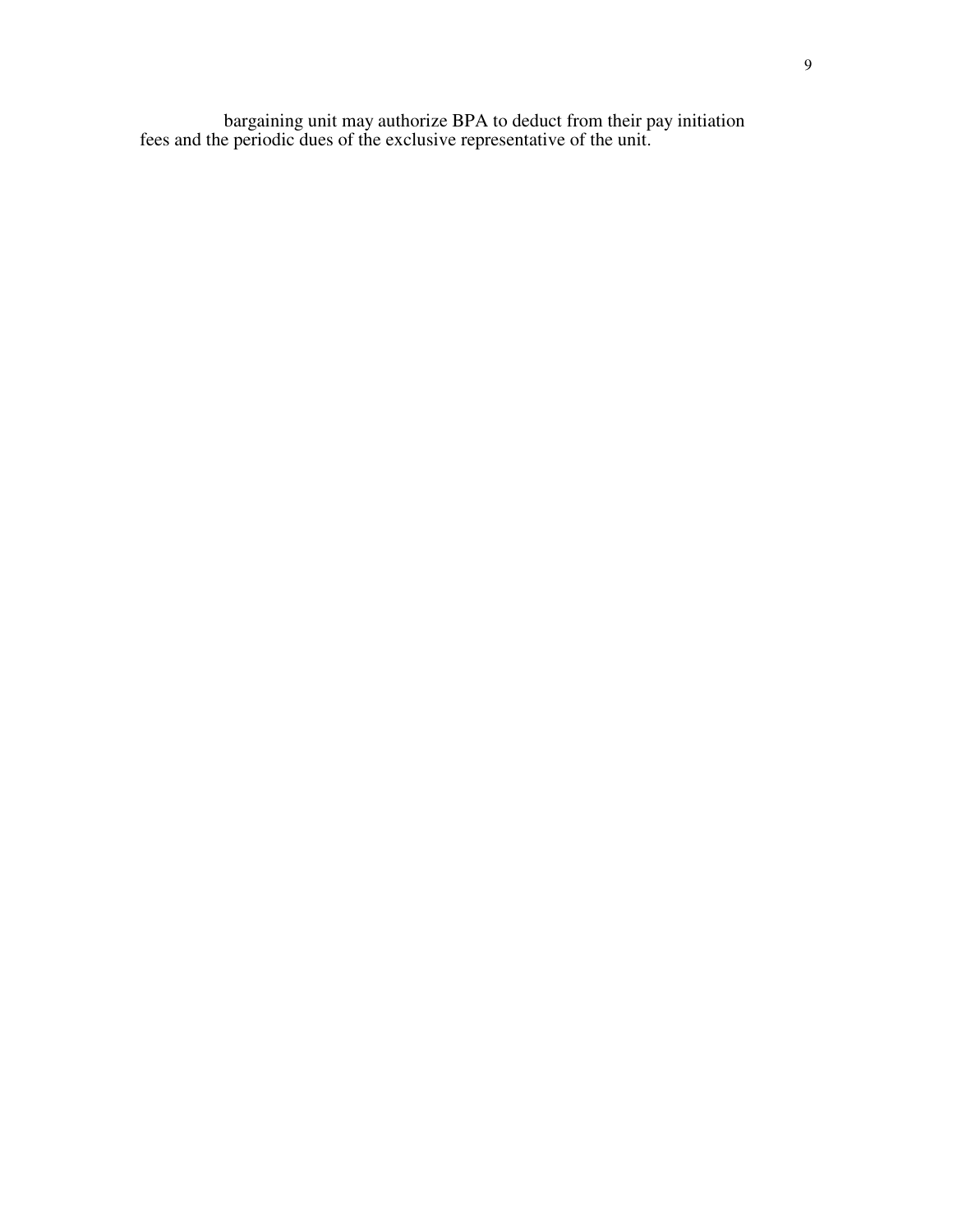bargaining unit may authorize BPA to deduct from their pay initiation fees and the periodic dues of the exclusive representative of the unit.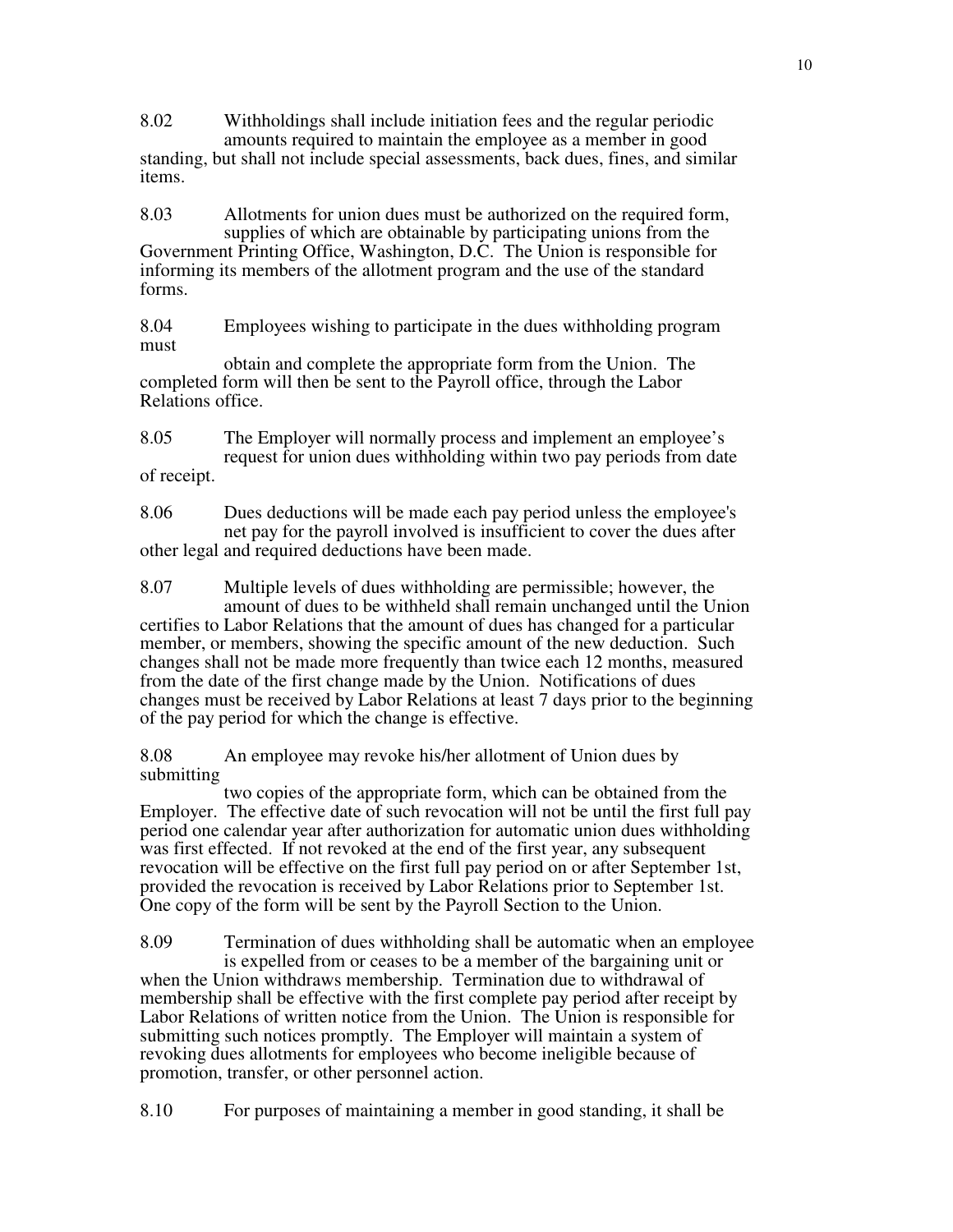8.02 Withholdings shall include initiation fees and the regular periodic amounts required to maintain the employee as a member in good standing, but shall not include special assessments, back dues, fines, and similar items.

8.03 Allotments for union dues must be authorized on the required form, supplies of which are obtainable by participating unions from the Government Printing Office, Washington, D.C. The Union is responsible for informing its members of the allotment program and the use of the standard forms.

8.04 Employees wishing to participate in the dues withholding program must

 obtain and complete the appropriate form from the Union. The completed form will then be sent to the Payroll office, through the Labor Relations office.

8.05 The Employer will normally process and implement an employee's request for union dues withholding within two pay periods from date of receipt.

8.06 Dues deductions will be made each pay period unless the employee's net pay for the payroll involved is insufficient to cover the dues after other legal and required deductions have been made.

8.07 Multiple levels of dues withholding are permissible; however, the amount of dues to be withheld shall remain unchanged until the Union certifies to Labor Relations that the amount of dues has changed for a particular member, or members, showing the specific amount of the new deduction. Such changes shall not be made more frequently than twice each 12 months, measured from the date of the first change made by the Union. Notifications of dues changes must be received by Labor Relations at least 7 days prior to the beginning of the pay period for which the change is effective.

8.08 An employee may revoke his/her allotment of Union dues by submitting

 two copies of the appropriate form, which can be obtained from the Employer. The effective date of such revocation will not be until the first full pay period one calendar year after authorization for automatic union dues withholding was first effected. If not revoked at the end of the first year, any subsequent revocation will be effective on the first full pay period on or after September 1st, provided the revocation is received by Labor Relations prior to September 1st. One copy of the form will be sent by the Payroll Section to the Union.

8.09 Termination of dues withholding shall be automatic when an employee is expelled from or ceases to be a member of the bargaining unit or when the Union withdraws membership. Termination due to withdrawal of membership shall be effective with the first complete pay period after receipt by Labor Relations of written notice from the Union. The Union is responsible for submitting such notices promptly. The Employer will maintain a system of revoking dues allotments for employees who become ineligible because of promotion, transfer, or other personnel action.

8.10 For purposes of maintaining a member in good standing, it shall be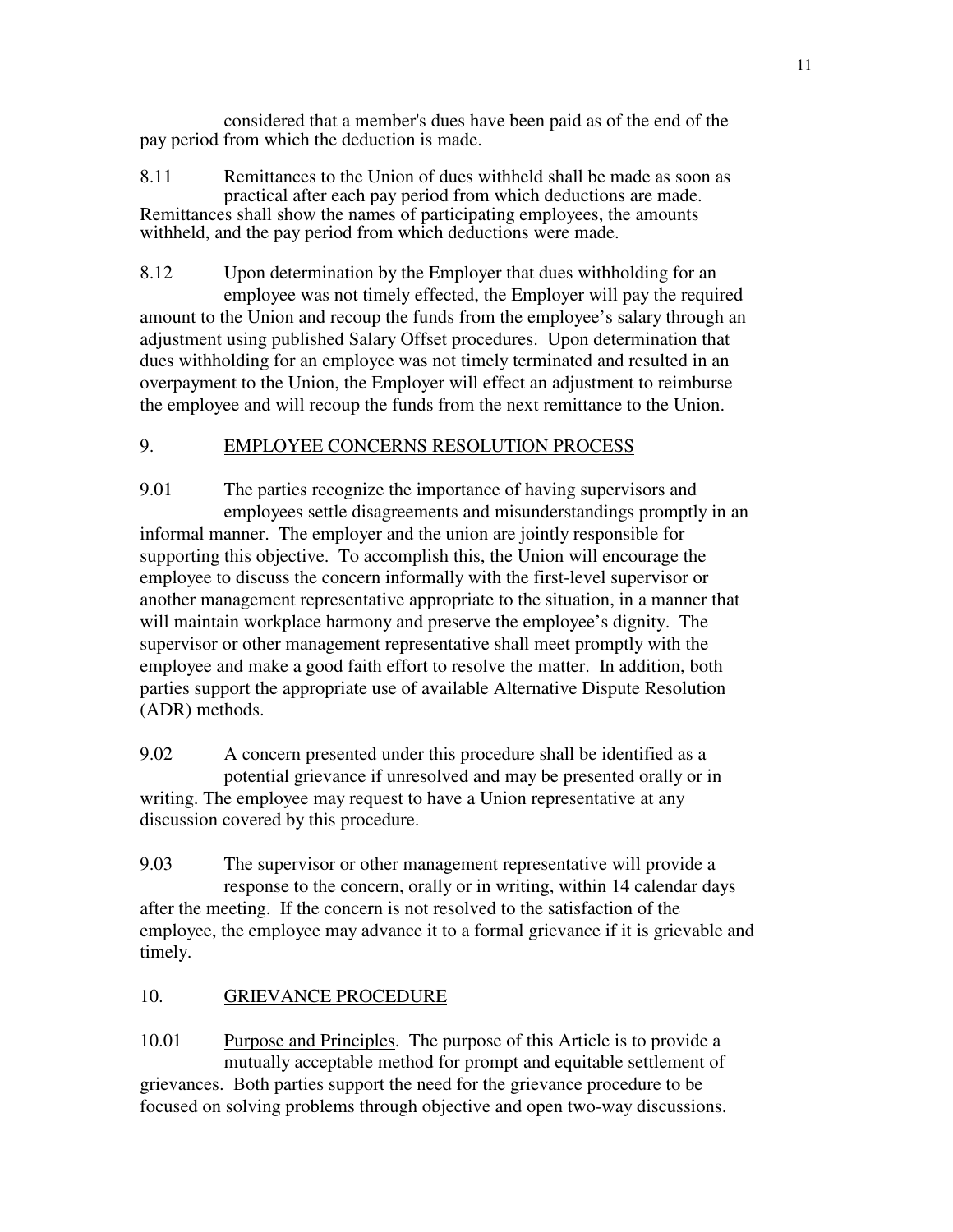considered that a member's dues have been paid as of the end of the pay period from which the deduction is made.

8.11 Remittances to the Union of dues withheld shall be made as soon as practical after each pay period from which deductions are made. Remittances shall show the names of participating employees, the amounts withheld, and the pay period from which deductions were made.

8.12 Upon determination by the Employer that dues withholding for an employee was not timely effected, the Employer will pay the required amount to the Union and recoup the funds from the employee's salary through an adjustment using published Salary Offset procedures. Upon determination that dues withholding for an employee was not timely terminated and resulted in an overpayment to the Union, the Employer will effect an adjustment to reimburse the employee and will recoup the funds from the next remittance to the Union.

# 9. EMPLOYEE CONCERNS RESOLUTION PROCESS

9.01 The parties recognize the importance of having supervisors and employees settle disagreements and misunderstandings promptly in an informal manner. The employer and the union are jointly responsible for supporting this objective. To accomplish this, the Union will encourage the employee to discuss the concern informally with the first-level supervisor or another management representative appropriate to the situation, in a manner that will maintain workplace harmony and preserve the employee's dignity. The supervisor or other management representative shall meet promptly with the employee and make a good faith effort to resolve the matter. In addition, both parties support the appropriate use of available Alternative Dispute Resolution (ADR) methods.

9.02 A concern presented under this procedure shall be identified as a potential grievance if unresolved and may be presented orally or in writing. The employee may request to have a Union representative at any discussion covered by this procedure.

9.03 The supervisor or other management representative will provide a response to the concern, orally or in writing, within 14 calendar days after the meeting. If the concern is not resolved to the satisfaction of the employee, the employee may advance it to a formal grievance if it is grievable and timely.

## 10. GRIEVANCE PROCEDURE

10.01 Purpose and Principles. The purpose of this Article is to provide a mutually acceptable method for prompt and equitable settlement of grievances. Both parties support the need for the grievance procedure to be focused on solving problems through objective and open two-way discussions.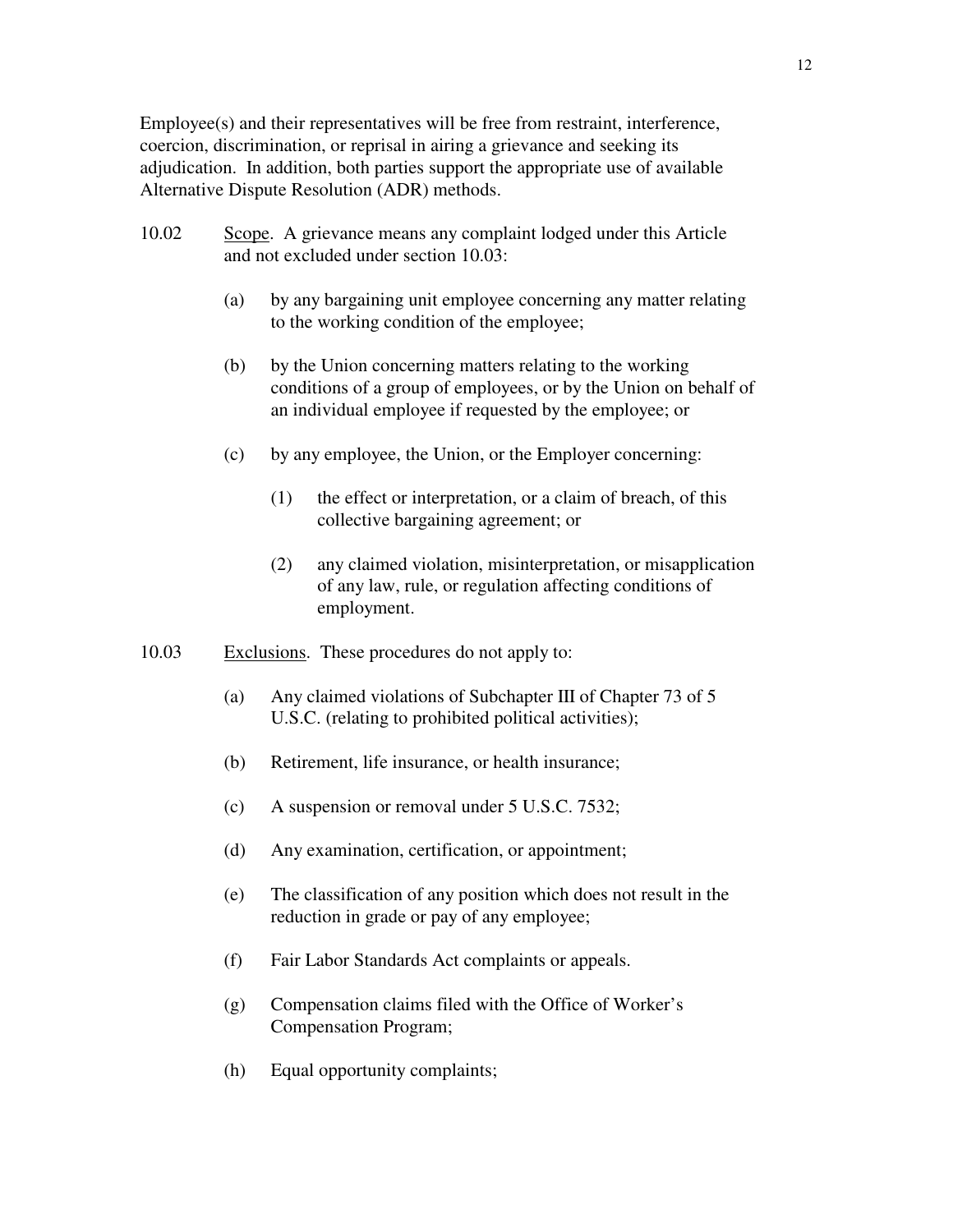Employee(s) and their representatives will be free from restraint, interference, coercion, discrimination, or reprisal in airing a grievance and seeking its adjudication. In addition, both parties support the appropriate use of available Alternative Dispute Resolution (ADR) methods.

- 10.02 Scope. A grievance means any complaint lodged under this Article and not excluded under section 10.03:
	- (a) by any bargaining unit employee concerning any matter relating to the working condition of the employee;
	- (b) by the Union concerning matters relating to the working conditions of a group of employees, or by the Union on behalf of an individual employee if requested by the employee; or
	- (c) by any employee, the Union, or the Employer concerning:
		- (1) the effect or interpretation, or a claim of breach, of this collective bargaining agreement; or
		- (2) any claimed violation, misinterpretation, or misapplication of any law, rule, or regulation affecting conditions of employment.
- 10.03 Exclusions. These procedures do not apply to:
	- (a) Any claimed violations of Subchapter III of Chapter 73 of 5 U.S.C. (relating to prohibited political activities);
	- (b) Retirement, life insurance, or health insurance;
	- (c) A suspension or removal under 5 U.S.C. 7532;
	- (d) Any examination, certification, or appointment;
	- (e) The classification of any position which does not result in the reduction in grade or pay of any employee;
	- (f) Fair Labor Standards Act complaints or appeals.
	- (g) Compensation claims filed with the Office of Worker's Compensation Program;
	- (h) Equal opportunity complaints;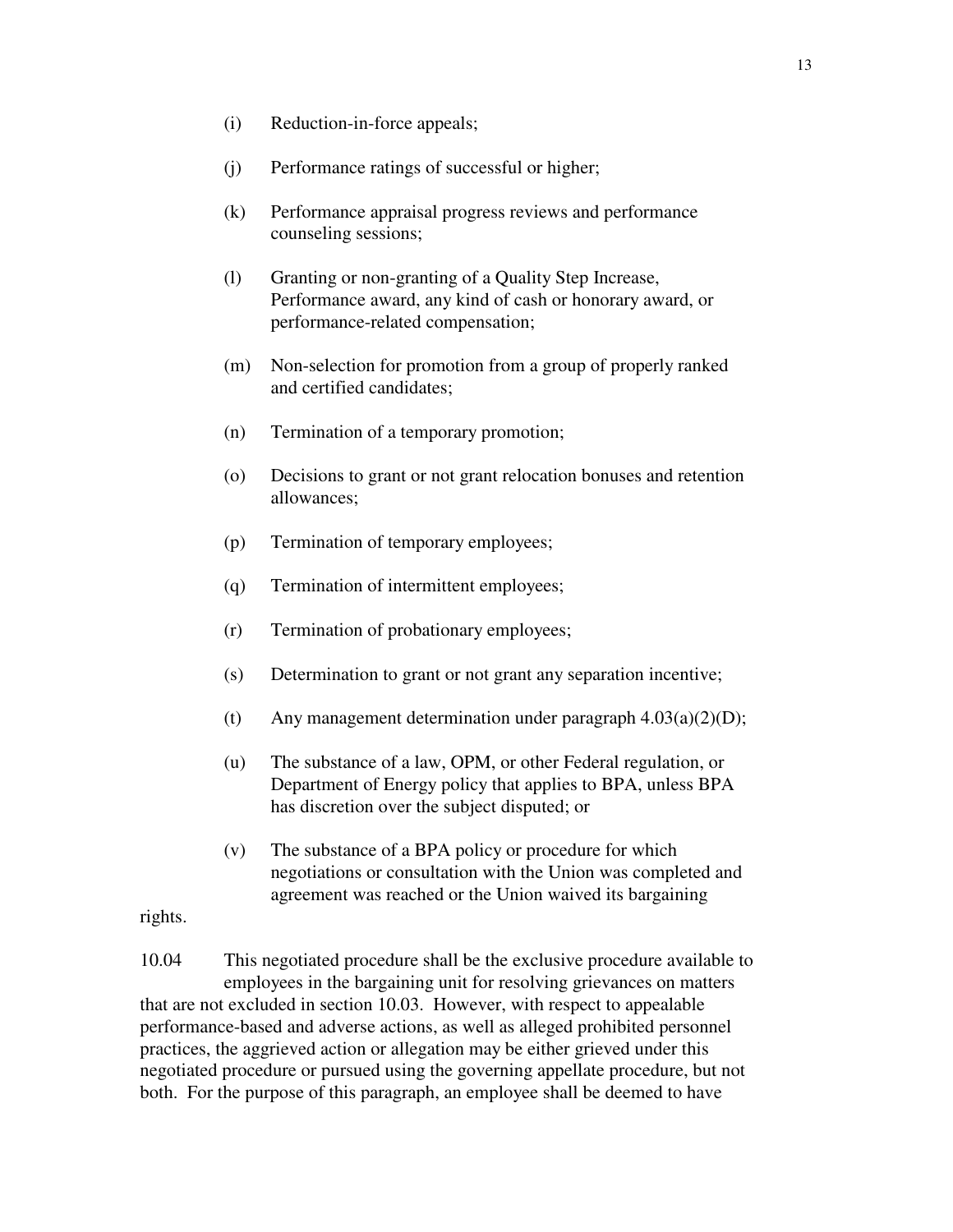- (i) Reduction-in-force appeals;
- (j) Performance ratings of successful or higher;
- (k) Performance appraisal progress reviews and performance counseling sessions;
- (l) Granting or non-granting of a Quality Step Increase, Performance award, any kind of cash or honorary award, or performance-related compensation;
- (m) Non-selection for promotion from a group of properly ranked and certified candidates;
- (n) Termination of a temporary promotion;
- (o) Decisions to grant or not grant relocation bonuses and retention allowances;
- (p) Termination of temporary employees;
- (q) Termination of intermittent employees;
- (r) Termination of probationary employees;
- (s) Determination to grant or not grant any separation incentive;
- (t) Any management determination under paragraph  $4.03(a)(2)(D)$ ;
- (u) The substance of a law, OPM, or other Federal regulation, or Department of Energy policy that applies to BPA, unless BPA has discretion over the subject disputed; or
- (v) The substance of a BPA policy or procedure for which negotiations or consultation with the Union was completed and agreement was reached or the Union waived its bargaining

rights.

10.04 This negotiated procedure shall be the exclusive procedure available to employees in the bargaining unit for resolving grievances on matters that are not excluded in section 10.03. However, with respect to appealable performance-based and adverse actions, as well as alleged prohibited personnel practices, the aggrieved action or allegation may be either grieved under this negotiated procedure or pursued using the governing appellate procedure, but not both. For the purpose of this paragraph, an employee shall be deemed to have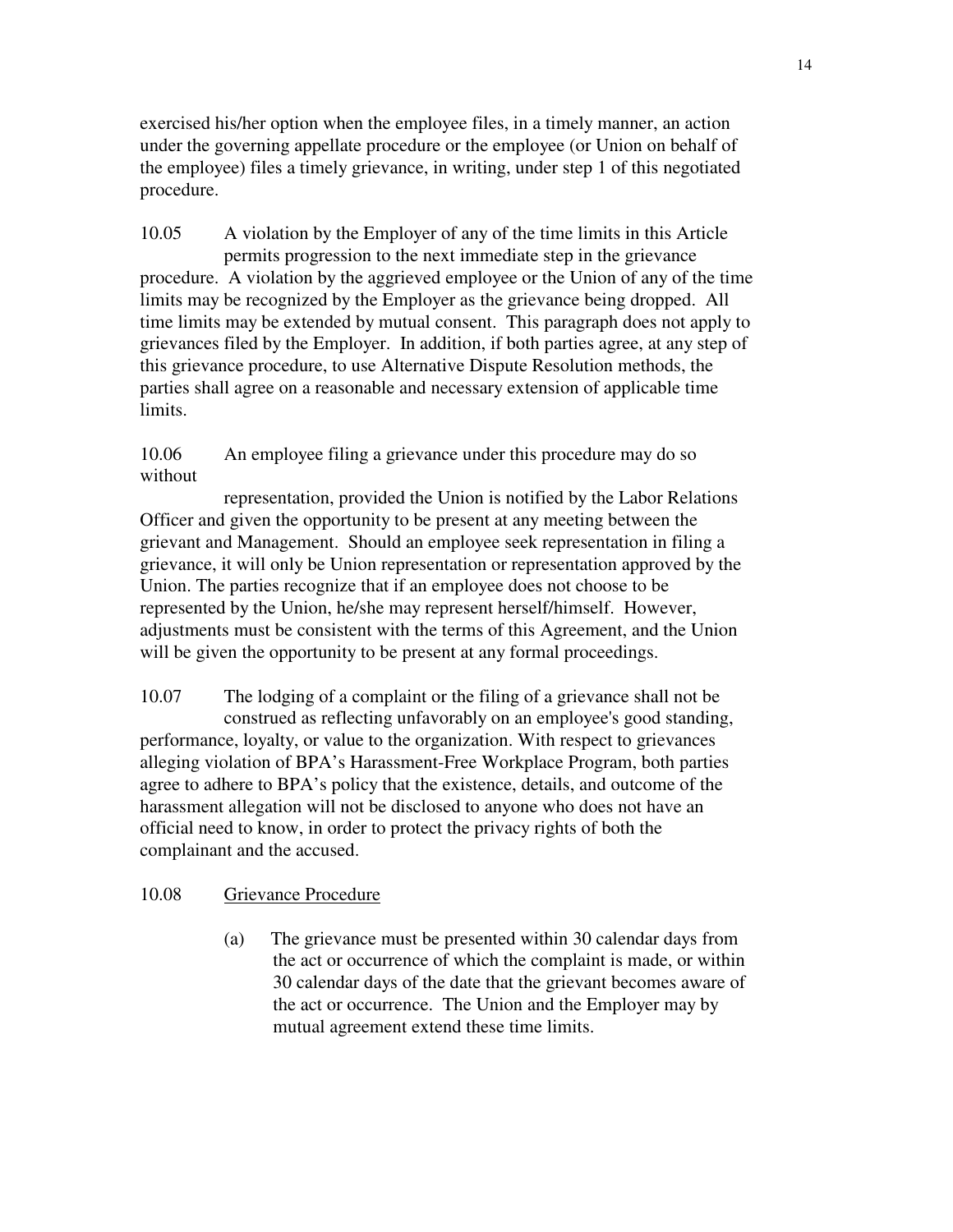exercised his/her option when the employee files, in a timely manner, an action under the governing appellate procedure or the employee (or Union on behalf of the employee) files a timely grievance, in writing, under step 1 of this negotiated procedure.

10.05 A violation by the Employer of any of the time limits in this Article permits progression to the next immediate step in the grievance procedure. A violation by the aggrieved employee or the Union of any of the time limits may be recognized by the Employer as the grievance being dropped. All time limits may be extended by mutual consent. This paragraph does not apply to grievances filed by the Employer. In addition, if both parties agree, at any step of this grievance procedure, to use Alternative Dispute Resolution methods, the parties shall agree on a reasonable and necessary extension of applicable time limits.

10.06 An employee filing a grievance under this procedure may do so without

 representation, provided the Union is notified by the Labor Relations Officer and given the opportunity to be present at any meeting between the grievant and Management. Should an employee seek representation in filing a grievance, it will only be Union representation or representation approved by the Union. The parties recognize that if an employee does not choose to be represented by the Union, he/she may represent herself/himself. However, adjustments must be consistent with the terms of this Agreement, and the Union will be given the opportunity to be present at any formal proceedings.

10.07 The lodging of a complaint or the filing of a grievance shall not be construed as reflecting unfavorably on an employee's good standing, performance, loyalty, or value to the organization. With respect to grievances alleging violation of BPA's Harassment-Free Workplace Program, both parties agree to adhere to BPA's policy that the existence, details, and outcome of the harassment allegation will not be disclosed to anyone who does not have an official need to know, in order to protect the privacy rights of both the complainant and the accused.

## 10.08 Grievance Procedure

 (a) The grievance must be presented within 30 calendar days from the act or occurrence of which the complaint is made, or within 30 calendar days of the date that the grievant becomes aware of the act or occurrence. The Union and the Employer may by mutual agreement extend these time limits.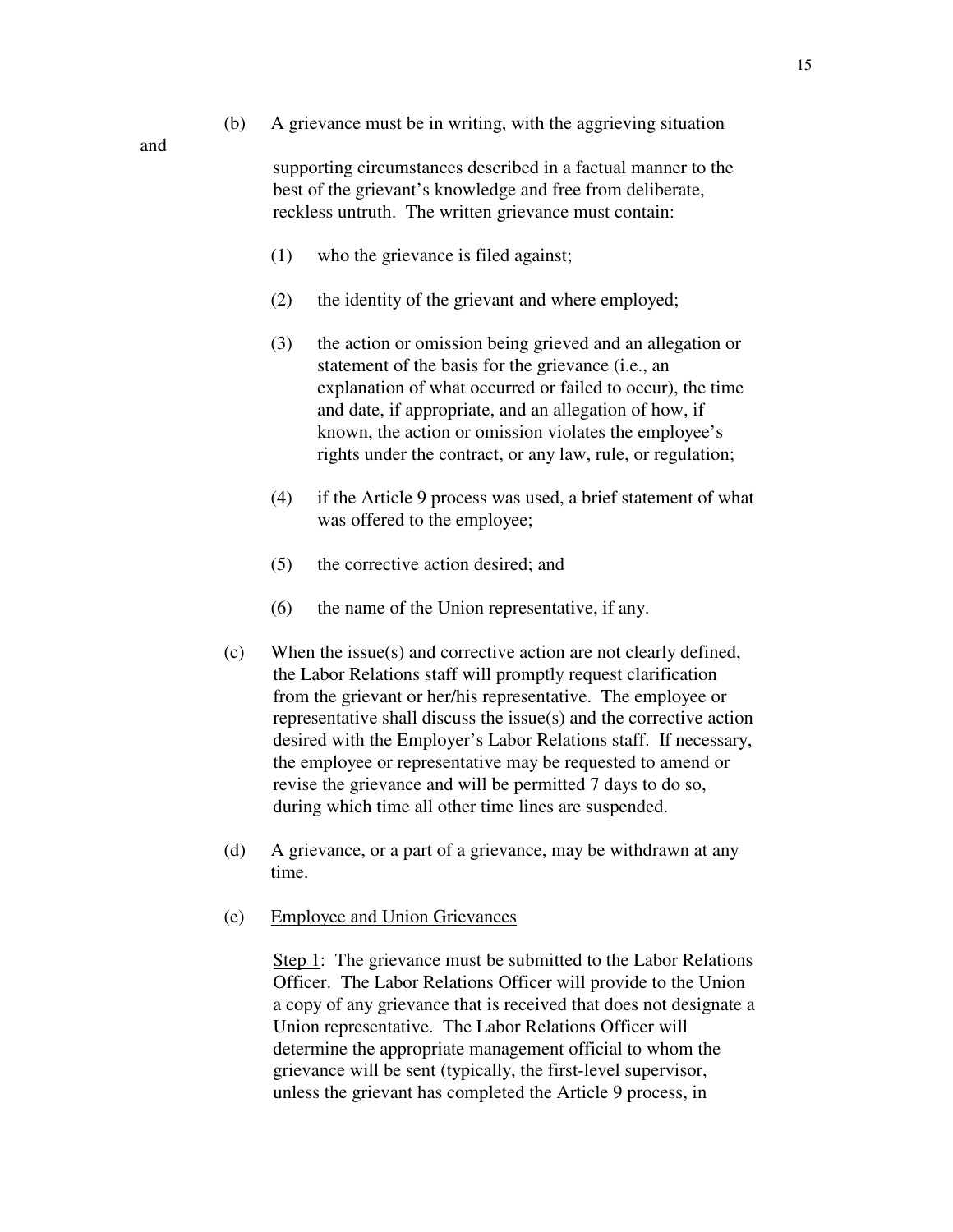- and
- (b) A grievance must be in writing, with the aggrieving situation

supporting circumstances described in a factual manner to the best of the grievant's knowledge and free from deliberate, reckless untruth. The written grievance must contain:

- (1) who the grievance is filed against;
- (2) the identity of the grievant and where employed;
- (3) the action or omission being grieved and an allegation or statement of the basis for the grievance (i.e., an explanation of what occurred or failed to occur), the time and date, if appropriate, and an allegation of how, if known, the action or omission violates the employee's rights under the contract, or any law, rule, or regulation;
- (4) if the Article 9 process was used, a brief statement of what was offered to the employee;
- (5) the corrective action desired; and
- (6) the name of the Union representative, if any.
- (c) When the issue(s) and corrective action are not clearly defined, the Labor Relations staff will promptly request clarification from the grievant or her/his representative. The employee or representative shall discuss the issue(s) and the corrective action desired with the Employer's Labor Relations staff. If necessary, the employee or representative may be requested to amend or revise the grievance and will be permitted 7 days to do so, during which time all other time lines are suspended.
- (d) A grievance, or a part of a grievance, may be withdrawn at any time.
- (e) Employee and Union Grievances

Step 1: The grievance must be submitted to the Labor Relations Officer. The Labor Relations Officer will provide to the Union a copy of any grievance that is received that does not designate a Union representative. The Labor Relations Officer will determine the appropriate management official to whom the grievance will be sent (typically, the first-level supervisor, unless the grievant has completed the Article 9 process, in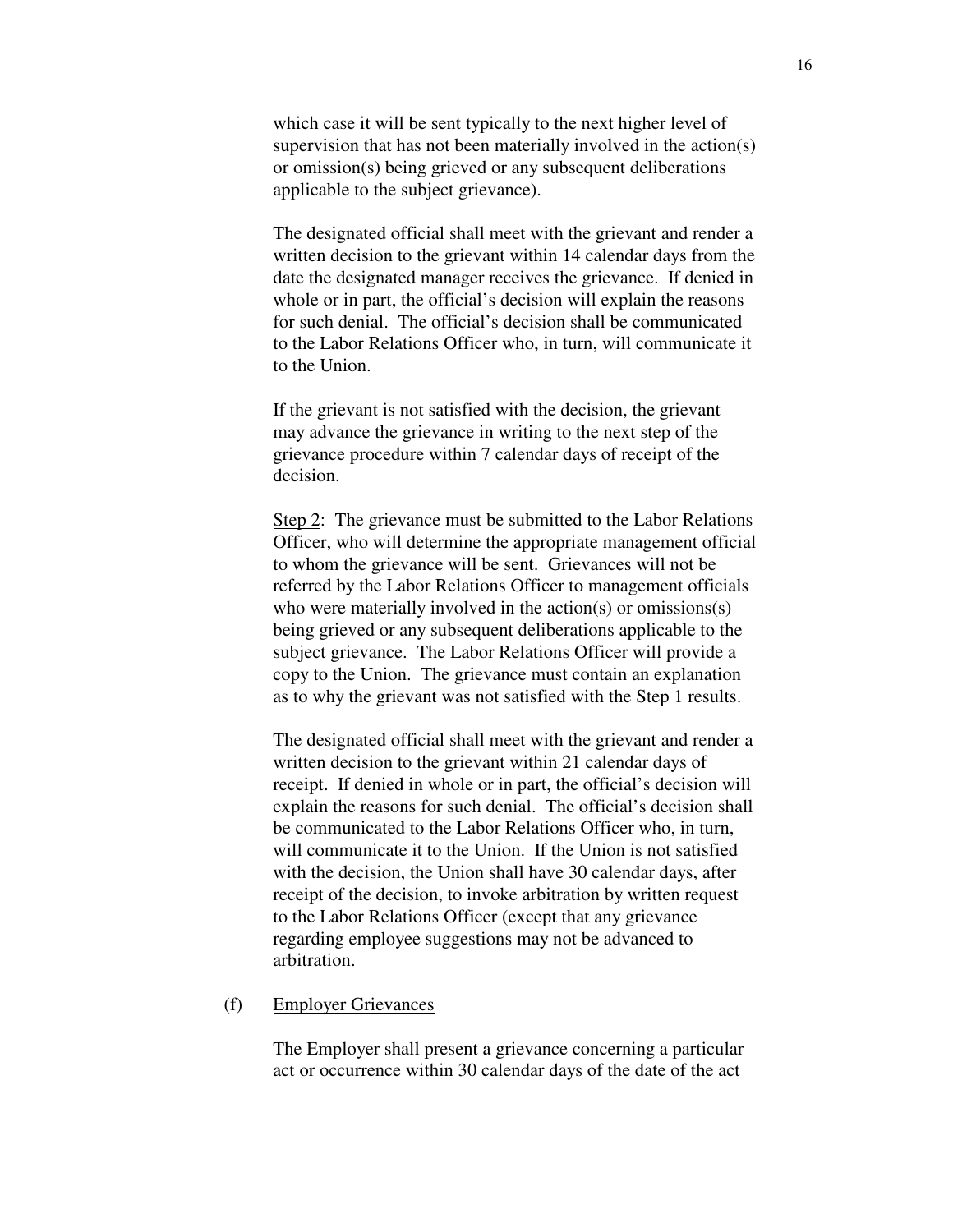which case it will be sent typically to the next higher level of supervision that has not been materially involved in the action(s) or omission(s) being grieved or any subsequent deliberations applicable to the subject grievance).

The designated official shall meet with the grievant and render a written decision to the grievant within 14 calendar days from the date the designated manager receives the grievance. If denied in whole or in part, the official's decision will explain the reasons for such denial.The official's decision shall be communicated to the Labor Relations Officer who, in turn, will communicate it to the Union.

If the grievant is not satisfied with the decision, the grievant may advance the grievance in writing to the next step of the grievance procedure within 7 calendar days of receipt of the decision.

Step 2: The grievance must be submitted to the Labor Relations Officer, who will determine the appropriate management official to whom the grievance will be sent. Grievances will not be referred by the Labor Relations Officer to management officials who were materially involved in the action(s) or omissions(s) being grieved or any subsequent deliberations applicable to the subject grievance. The Labor Relations Officer will provide a copy to the Union. The grievance must contain an explanation as to why the grievant was not satisfied with the Step 1 results.

The designated official shall meet with the grievant and render a written decision to the grievant within 21 calendar days of receipt. If denied in whole or in part, the official's decision will explain the reasons for such denial. The official's decision shall be communicated to the Labor Relations Officer who, in turn, will communicate it to the Union. If the Union is not satisfied with the decision, the Union shall have 30 calendar days, after receipt of the decision, to invoke arbitration by written request to the Labor Relations Officer (except that any grievance regarding employee suggestions may not be advanced to arbitration.

#### (f) Employer Grievances

The Employer shall present a grievance concerning a particular act or occurrence within 30 calendar days of the date of the act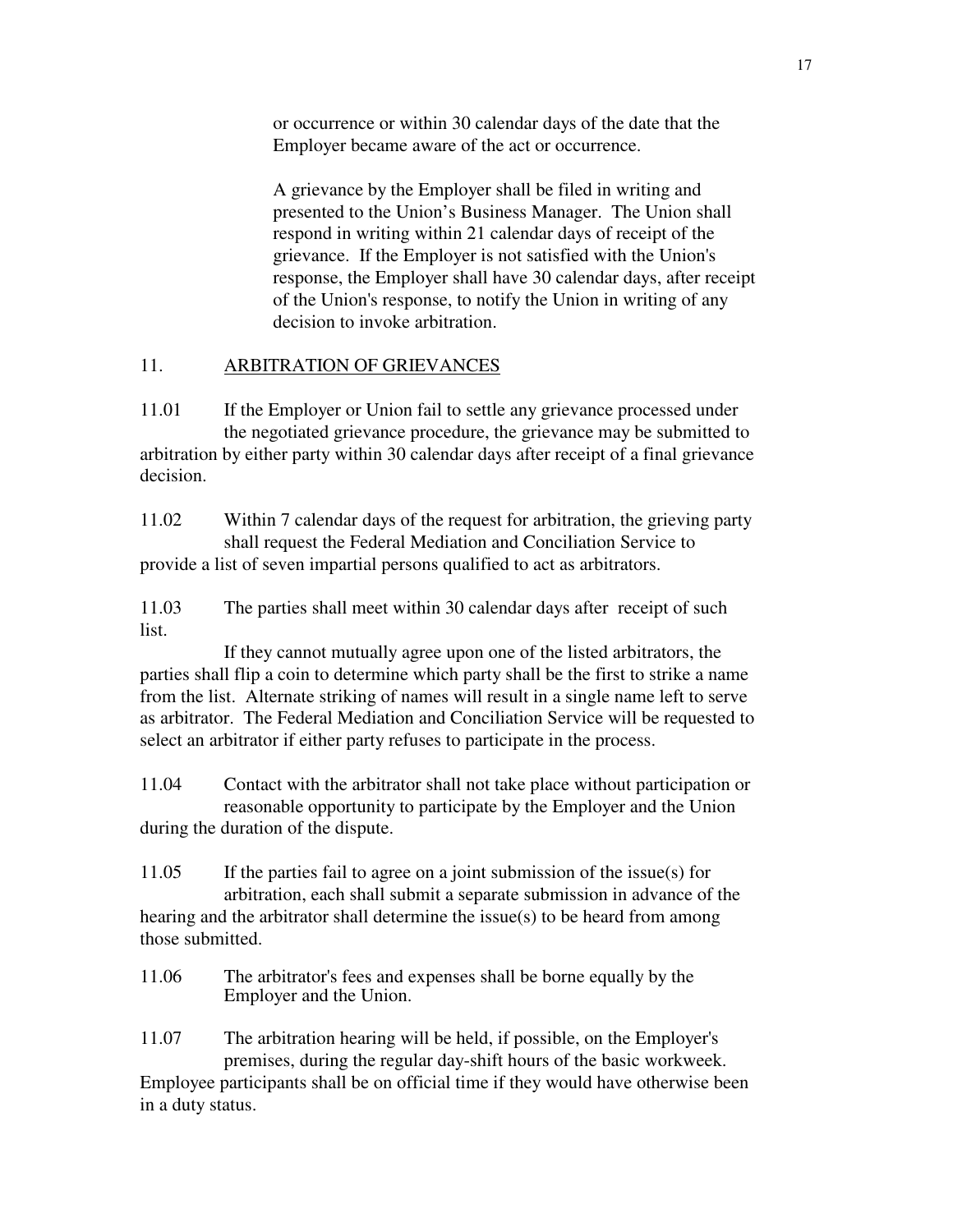or occurrence or within 30 calendar days of the date that the Employer became aware of the act or occurrence.

A grievance by the Employer shall be filed in writing and presented to the Union's Business Manager. The Union shall respond in writing within 21 calendar days of receipt of the grievance. If the Employer is not satisfied with the Union's response, the Employer shall have 30 calendar days, after receipt of the Union's response, to notify the Union in writing of any decision to invoke arbitration.

## 11. ARBITRATION OF GRIEVANCES

11.01 If the Employer or Union fail to settle any grievance processed under the negotiated grievance procedure, the grievance may be submitted to arbitration by either party within 30 calendar days after receipt of a final grievance decision.

11.02 Within 7 calendar days of the request for arbitration, the grieving party shall request the Federal Mediation and Conciliation Service to provide a list of seven impartial persons qualified to act as arbitrators.

11.03 The parties shall meet within 30 calendar days after receipt of such list.

 If they cannot mutually agree upon one of the listed arbitrators, the parties shall flip a coin to determine which party shall be the first to strike a name from the list. Alternate striking of names will result in a single name left to serve as arbitrator. The Federal Mediation and Conciliation Service will be requested to select an arbitrator if either party refuses to participate in the process.

11.04 Contact with the arbitrator shall not take place without participation or reasonable opportunity to participate by the Employer and the Union during the duration of the dispute.

11.05 If the parties fail to agree on a joint submission of the issue(s) for arbitration, each shall submit a separate submission in advance of the hearing and the arbitrator shall determine the issue(s) to be heard from among those submitted.

11.06 The arbitrator's fees and expenses shall be borne equally by the Employer and the Union.

11.07 The arbitration hearing will be held, if possible, on the Employer's premises, during the regular day-shift hours of the basic workweek.

Employee participants shall be on official time if they would have otherwise been in a duty status.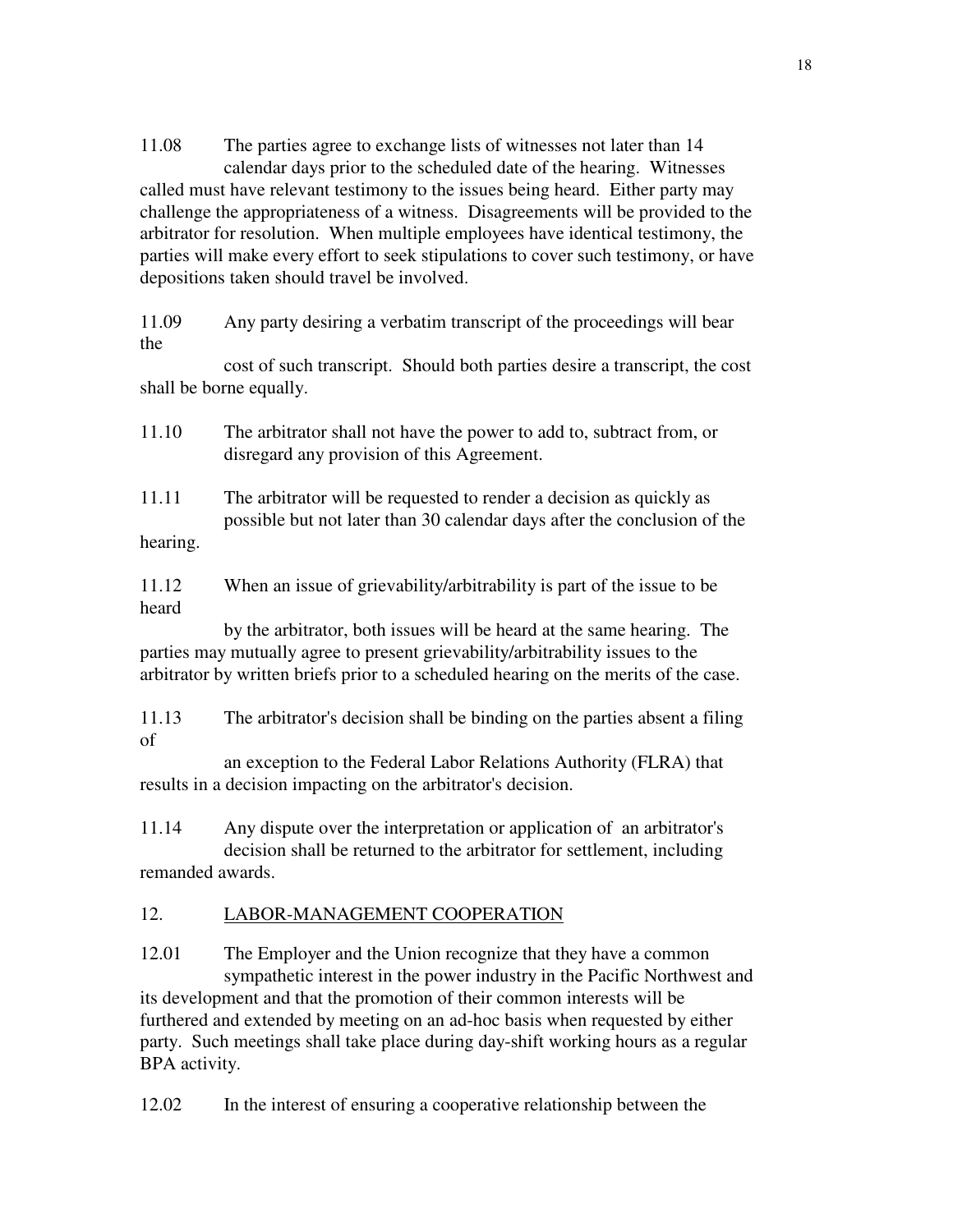11.08 The parties agree to exchange lists of witnesses not later than 14 calendar days prior to the scheduled date of the hearing. Witnesses called must have relevant testimony to the issues being heard. Either party may challenge the appropriateness of a witness. Disagreements will be provided to the arbitrator for resolution. When multiple employees have identical testimony, the parties will make every effort to seek stipulations to cover such testimony, or have depositions taken should travel be involved.

11.09 Any party desiring a verbatim transcript of the proceedings will bear the

 cost of such transcript. Should both parties desire a transcript, the cost shall be borne equally.

- 11.10 The arbitrator shall not have the power to add to, subtract from, or disregard any provision of this Agreement.
- 11.11 The arbitrator will be requested to render a decision as quickly as possible but not later than 30 calendar days after the conclusion of the hearing.

11.12 When an issue of grievability/arbitrability is part of the issue to be heard

 by the arbitrator, both issues will be heard at the same hearing. The parties may mutually agree to present grievability/arbitrability issues to the arbitrator by written briefs prior to a scheduled hearing on the merits of the case.

11.13 The arbitrator's decision shall be binding on the parties absent a filing of

 an exception to the Federal Labor Relations Authority (FLRA) that results in a decision impacting on the arbitrator's decision.

11.14 Any dispute over the interpretation or application of an arbitrator's decision shall be returned to the arbitrator for settlement, including remanded awards.

# 12. LABOR-MANAGEMENT COOPERATION

12.01 The Employer and the Union recognize that they have a common sympathetic interest in the power industry in the Pacific Northwest and its development and that the promotion of their common interests will be furthered and extended by meeting on an ad-hoc basis when requested by either party. Such meetings shall take place during day-shift working hours as a regular BPA activity.

12.02 In the interest of ensuring a cooperative relationship between the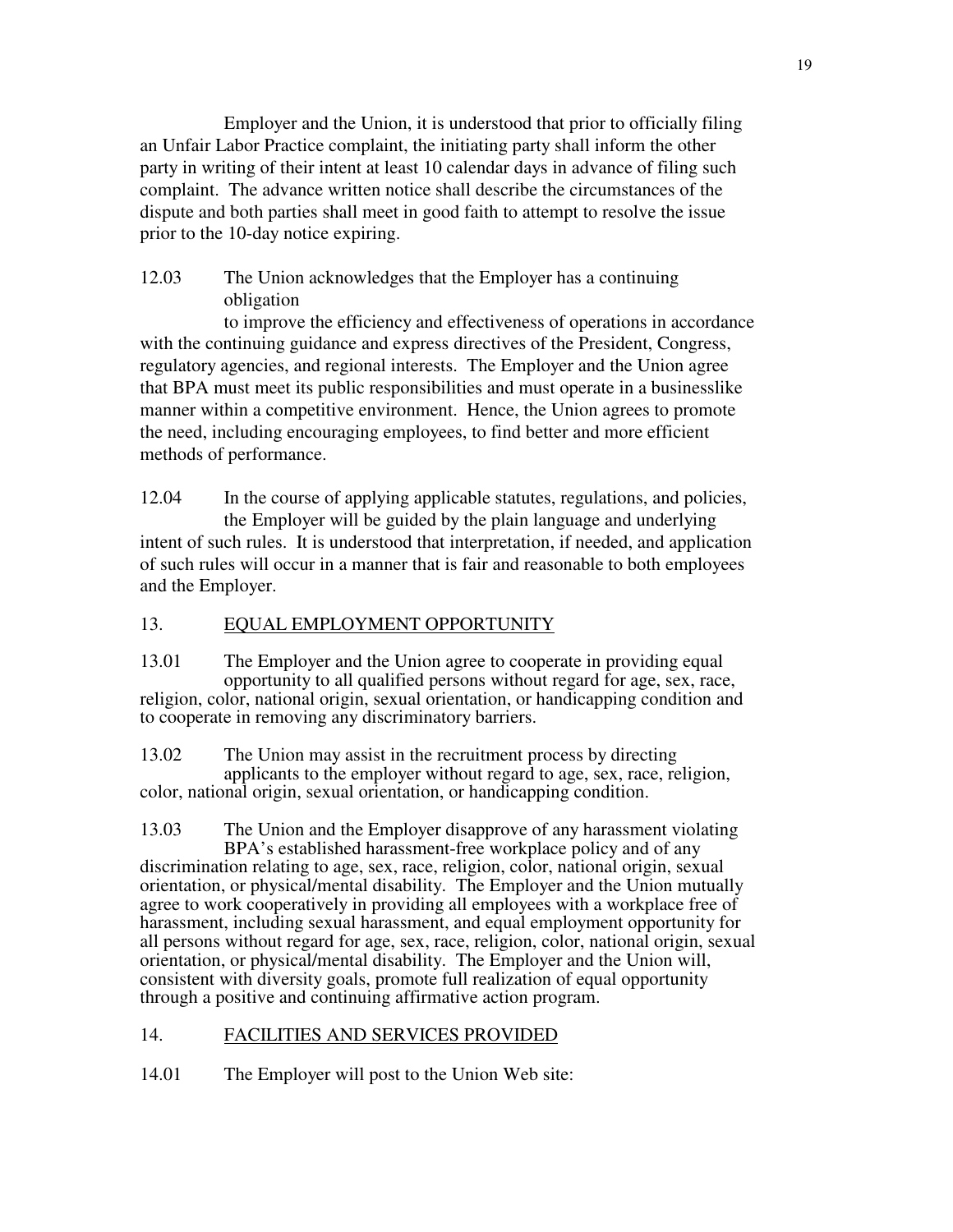Employer and the Union, it is understood that prior to officially filing an Unfair Labor Practice complaint, the initiating party shall inform the other party in writing of their intent at least 10 calendar days in advance of filing such complaint. The advance written notice shall describe the circumstances of the dispute and both parties shall meet in good faith to attempt to resolve the issue prior to the 10-day notice expiring.

12.03 The Union acknowledges that the Employer has a continuing obligation

to improve the efficiency and effectiveness of operations in accordance with the continuing guidance and express directives of the President, Congress, regulatory agencies, and regional interests. The Employer and the Union agree that BPA must meet its public responsibilities and must operate in a businesslike manner within a competitive environment. Hence, the Union agrees to promote the need, including encouraging employees, to find better and more efficient methods of performance.

12.04 In the course of applying applicable statutes, regulations, and policies, the Employer will be guided by the plain language and underlying intent of such rules. It is understood that interpretation, if needed, and application of such rules will occur in a manner that is fair and reasonable to both employees and the Employer.

## 13. EQUAL EMPLOYMENT OPPORTUNITY

13.01 The Employer and the Union agree to cooperate in providing equal opportunity to all qualified persons without regard for age, sex, race, religion, color, national origin, sexual orientation, or handicapping condition and to cooperate in removing any discriminatory barriers.

13.02 The Union may assist in the recruitment process by directing applicants to the employer without regard to age, sex, race, religion, color, national origin, sexual orientation, or handicapping condition.

13.03 The Union and the Employer disapprove of any harassment violating BPA's established harassment-free workplace policy and of any discrimination relating to age, sex, race, religion, color, national origin, sexual orientation, or physical/mental disability. The Employer and the Union mutually agree to work cooperatively in providing all employees with a workplace free of harassment, including sexual harassment, and equal employment opportunity for all persons without regard for age, sex, race, religion, color, national origin, sexual orientation, or physical/mental disability. The Employer and the Union will, consistent with diversity goals, promote full realization of equal opportunity through a positive and continuing affirmative action program.

#### 14. FACILITIES AND SERVICES PROVIDED

14.01 The Employer will post to the Union Web site: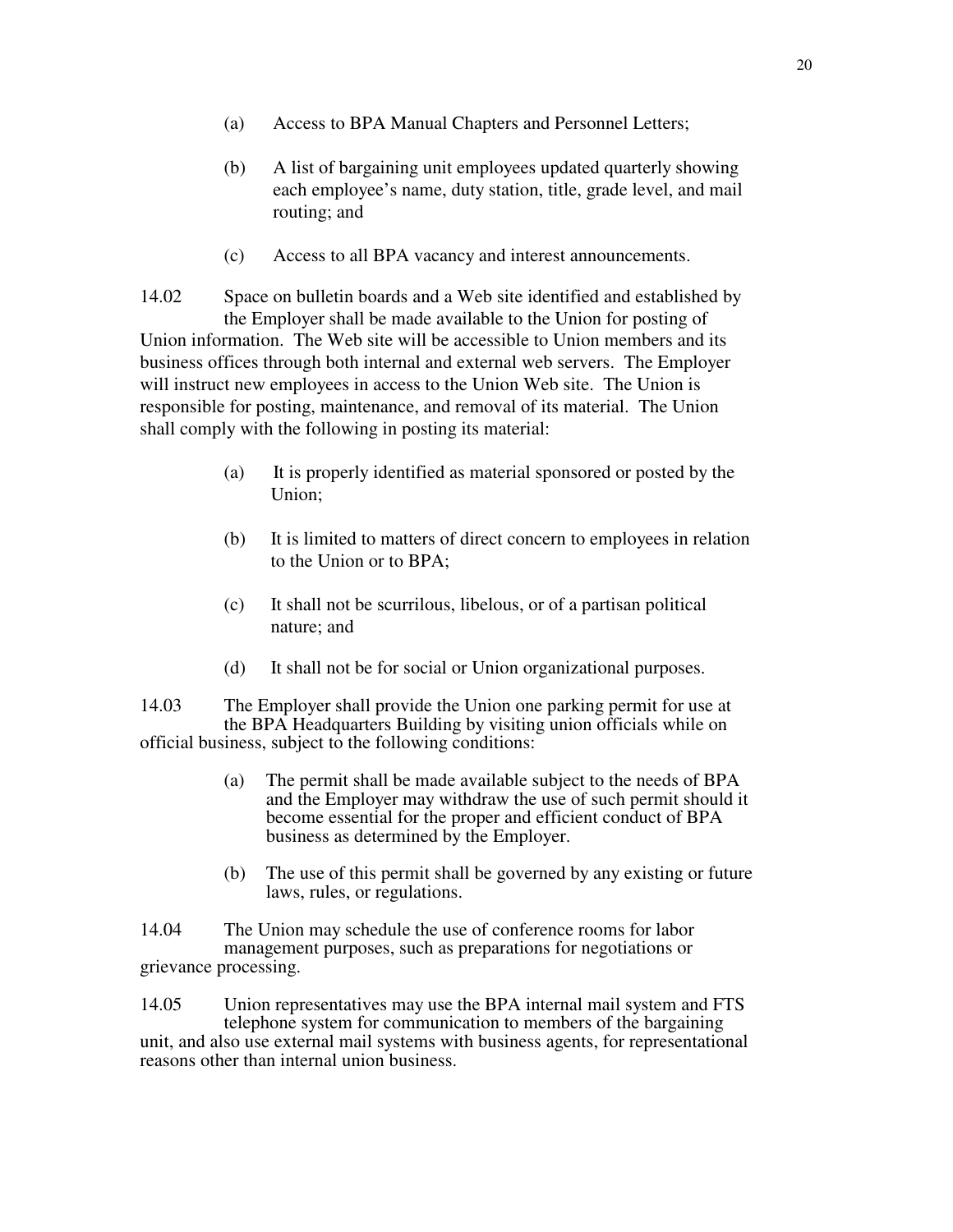- (a) Access to BPA Manual Chapters and Personnel Letters;
- (b) A list of bargaining unit employees updated quarterly showing each employee's name, duty station, title, grade level, and mail routing; and
- (c) Access to all BPA vacancy and interest announcements.

14.02 Space on bulletin boards and a Web site identified and established by the Employer shall be made available to the Union for posting of Union information. The Web site will be accessible to Union members and its business offices through both internal and external web servers. The Employer will instruct new employees in access to the Union Web site. The Union is responsible for posting, maintenance, and removal of its material. The Union shall comply with the following in posting its material:

- (a) It is properly identified as material sponsored or posted by the Union;
- (b) It is limited to matters of direct concern to employees in relation to the Union or to BPA;
- (c) It shall not be scurrilous, libelous, or of a partisan political nature; and
- (d) It shall not be for social or Union organizational purposes.

14.03 The Employer shall provide the Union one parking permit for use at the BPA Headquarters Building by visiting union officials while on official business, subject to the following conditions:

- (a) The permit shall be made available subject to the needs of BPA and the Employer may withdraw the use of such permit should it become essential for the proper and efficient conduct of BPA business as determined by the Employer.
- (b) The use of this permit shall be governed by any existing or future laws, rules, or regulations.

14.04 The Union may schedule the use of conference rooms for labor management purposes, such as preparations for negotiations or grievance processing.

14.05 Union representatives may use the BPA internal mail system and FTS telephone system for communication to members of the bargaining unit, and also use external mail systems with business agents, for representational reasons other than internal union business.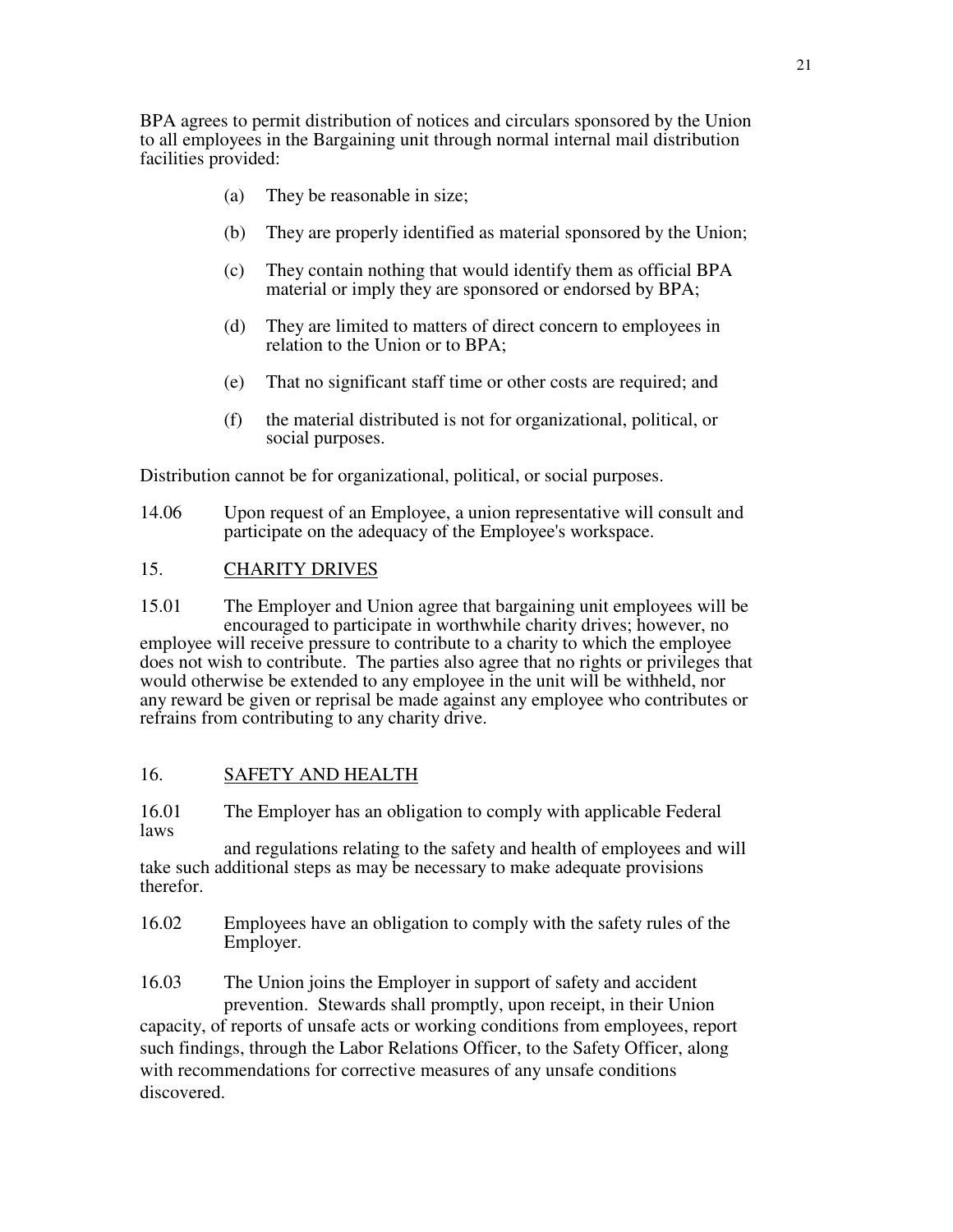BPA agrees to permit distribution of notices and circulars sponsored by the Union to all employees in the Bargaining unit through normal internal mail distribution facilities provided:

- (a) They be reasonable in size;
- (b) They are properly identified as material sponsored by the Union;
- (c) They contain nothing that would identify them as official BPA material or imply they are sponsored or endorsed by BPA;
- (d) They are limited to matters of direct concern to employees in relation to the Union or to BPA;
- (e) That no significant staff time or other costs are required; and
- (f) the material distributed is not for organizational, political, or social purposes.

Distribution cannot be for organizational, political, or social purposes.

14.06 Upon request of an Employee, a union representative will consult and participate on the adequacy of the Employee's workspace.

#### 15. CHARITY DRIVES

15.01 The Employer and Union agree that bargaining unit employees will be encouraged to participate in worthwhile charity drives; however, no employee will receive pressure to contribute to a charity to which the employee does not wish to contribute. The parties also agree that no rights or privileges that would otherwise be extended to any employee in the unit will be withheld, nor any reward be given or reprisal be made against any employee who contributes or refrains from contributing to any charity drive.

#### 16. SAFETY AND HEALTH

16.01 The Employer has an obligation to comply with applicable Federal laws

 and regulations relating to the safety and health of employees and will take such additional steps as may be necessary to make adequate provisions therefor.

16.02 Employees have an obligation to comply with the safety rules of the Employer.

16.03 The Union joins the Employer in support of safety and accident prevention. Stewards shall promptly, upon receipt, in their Union capacity, of reports of unsafe acts or working conditions from employees, report such findings, through the Labor Relations Officer, to the Safety Officer, along with recommendations for corrective measures of any unsafe conditions discovered.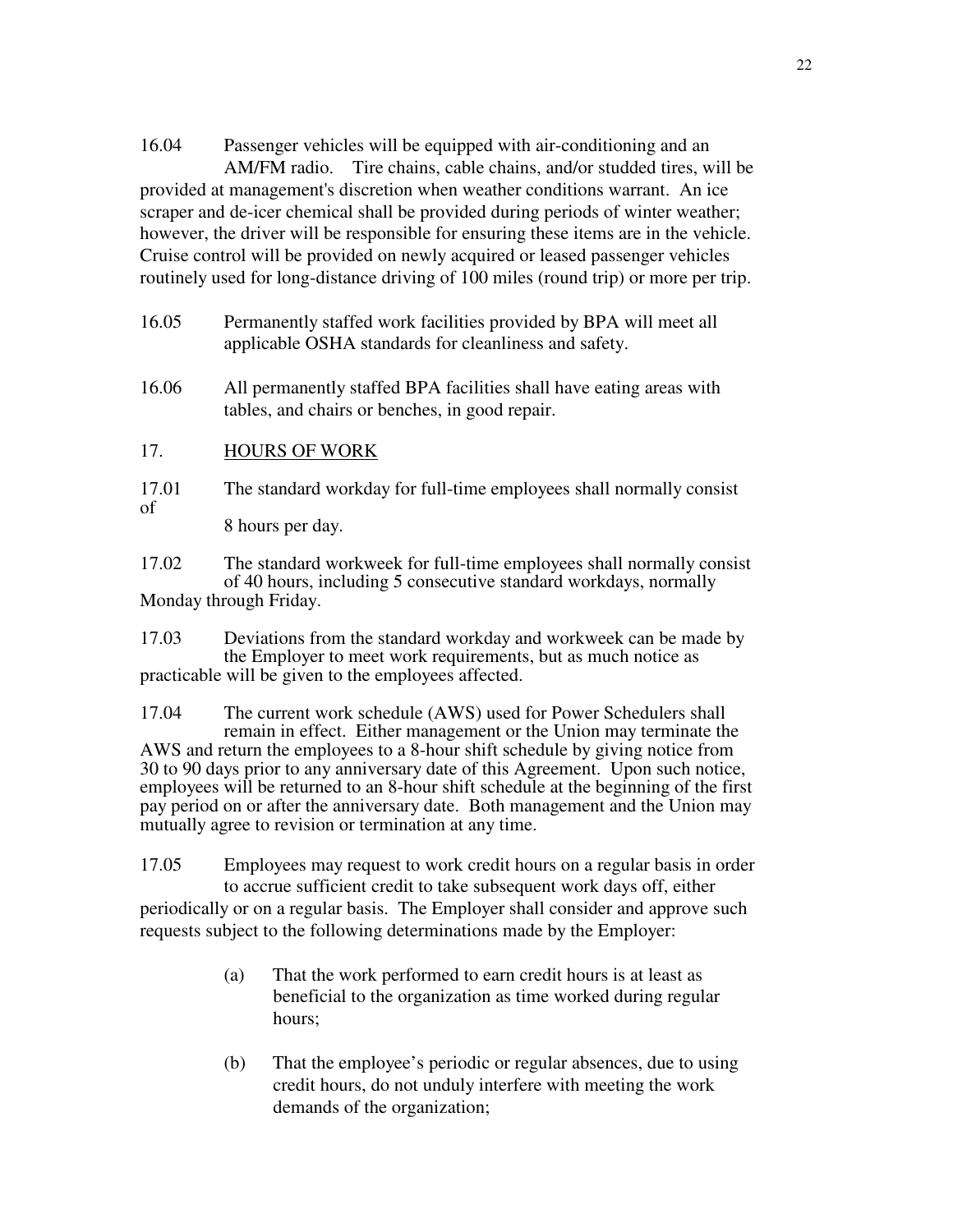16.04 Passenger vehicles will be equipped with air-conditioning and an AM/FM radio. Tire chains, cable chains, and/or studded tires, will be provided at management's discretion when weather conditions warrant. An ice scraper and de-icer chemical shall be provided during periods of winter weather; however, the driver will be responsible for ensuring these items are in the vehicle. Cruise control will be provided on newly acquired or leased passenger vehicles routinely used for long-distance driving of 100 miles (round trip) or more per trip.

- 16.05 Permanently staffed work facilities provided by BPA will meet all applicable OSHA standards for cleanliness and safety.
- 16.06 All permanently staffed BPA facilities shall have eating areas with tables, and chairs or benches, in good repair.

## 17. HOURS OF WORK

17.01 The standard workday for full-time employees shall normally consist of 8 hours per day.

17.02 The standard workweek for full-time employees shall normally consist of 40 hours, including 5 consecutive standard workdays, normally Monday through Friday.

17.03 Deviations from the standard workday and workweek can be made by the Employer to meet work requirements, but as much notice as practicable will be given to the employees affected.

17.04 The current work schedule (AWS) used for Power Schedulers shall remain in effect. Either management or the Union may terminate the AWS and return the employees to a 8-hour shift schedule by giving notice from 30 to 90 days prior to any anniversary date of this Agreement. Upon such notice, employees will be returned to an 8-hour shift schedule at the beginning of the first pay period on or after the anniversary date. Both management and the Union may mutually agree to revision or termination at any time.

17.05 Employees may request to work credit hours on a regular basis in order to accrue sufficient credit to take subsequent work days off, either periodically or on a regular basis. The Employer shall consider and approve such requests subject to the following determinations made by the Employer:

- (a) That the work performed to earn credit hours is at least as beneficial to the organization as time worked during regular hours;
- (b) That the employee's periodic or regular absences, due to using credit hours, do not unduly interfere with meeting the work demands of the organization;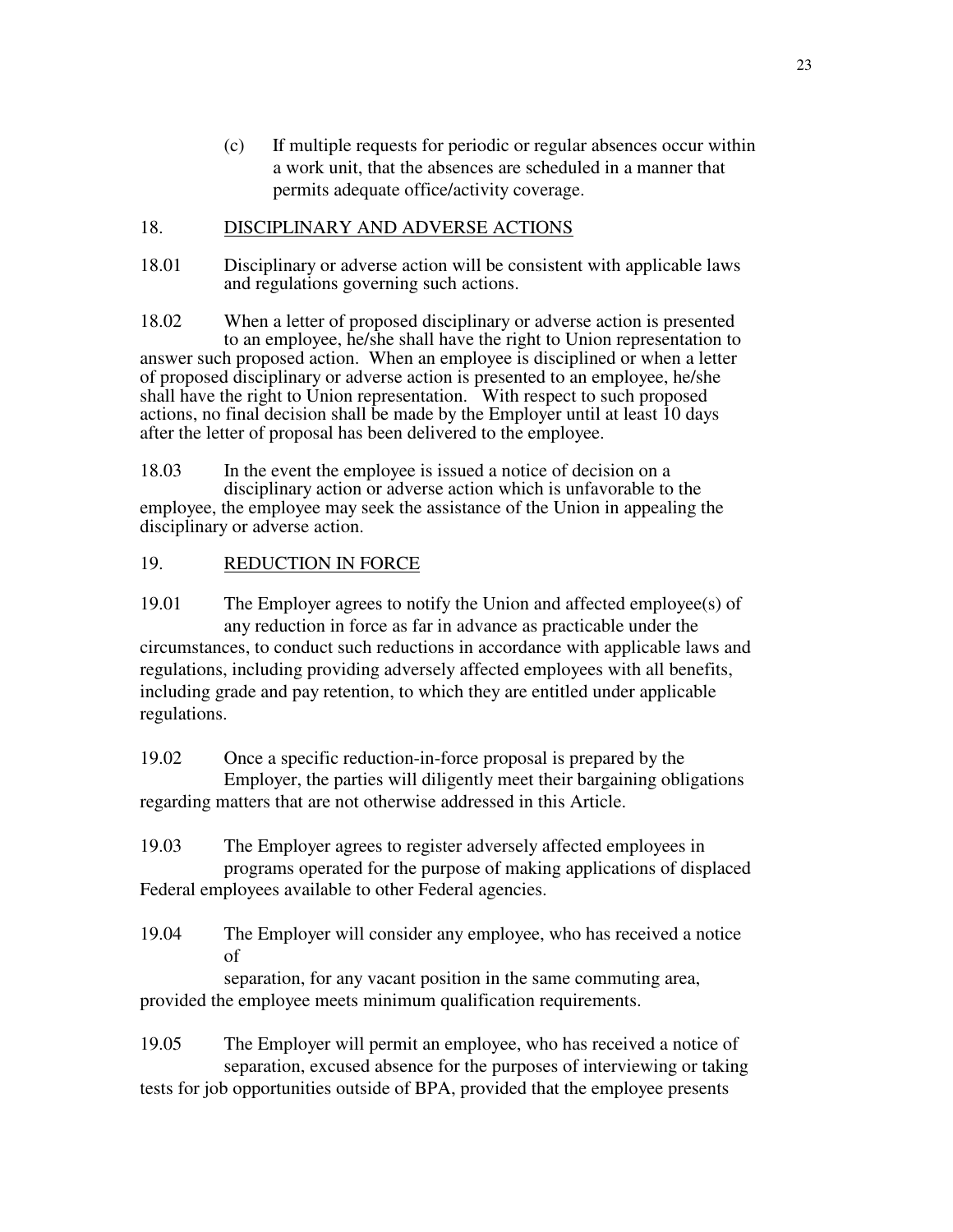(c) If multiple requests for periodic or regular absences occur within a work unit, that the absences are scheduled in a manner that permits adequate office/activity coverage.

## 18. DISCIPLINARY AND ADVERSE ACTIONS

18.01 Disciplinary or adverse action will be consistent with applicable laws and regulations governing such actions.

18.02 When a letter of proposed disciplinary or adverse action is presented to an employee, he/she shall have the right to Union representation to answer such proposed action. When an employee is disciplined or when a letter of proposed disciplinary or adverse action is presented to an employee, he/she shall have the right to Union representation. With respect to such proposed actions, no final decision shall be made by the Employer until at least 10 days after the letter of proposal has been delivered to the employee.

18.03 In the event the employee is issued a notice of decision on a disciplinary action or adverse action which is unfavorable to the employee, the employee may seek the assistance of the Union in appealing the disciplinary or adverse action.

## 19. REDUCTION IN FORCE

19.01 The Employer agrees to notify the Union and affected employee(s) of any reduction in force as far in advance as practicable under the circumstances, to conduct such reductions in accordance with applicable laws and regulations, including providing adversely affected employees with all benefits, including grade and pay retention, to which they are entitled under applicable regulations.

19.02 Once a specific reduction-in-force proposal is prepared by the Employer, the parties will diligently meet their bargaining obligations regarding matters that are not otherwise addressed in this Article.

19.03 The Employer agrees to register adversely affected employees in programs operated for the purpose of making applications of displaced Federal employees available to other Federal agencies.

19.04 The Employer will consider any employee, who has received a notice of

 separation, for any vacant position in the same commuting area, provided the employee meets minimum qualification requirements.

19.05 The Employer will permit an employee, who has received a notice of separation, excused absence for the purposes of interviewing or taking tests for job opportunities outside of BPA, provided that the employee presents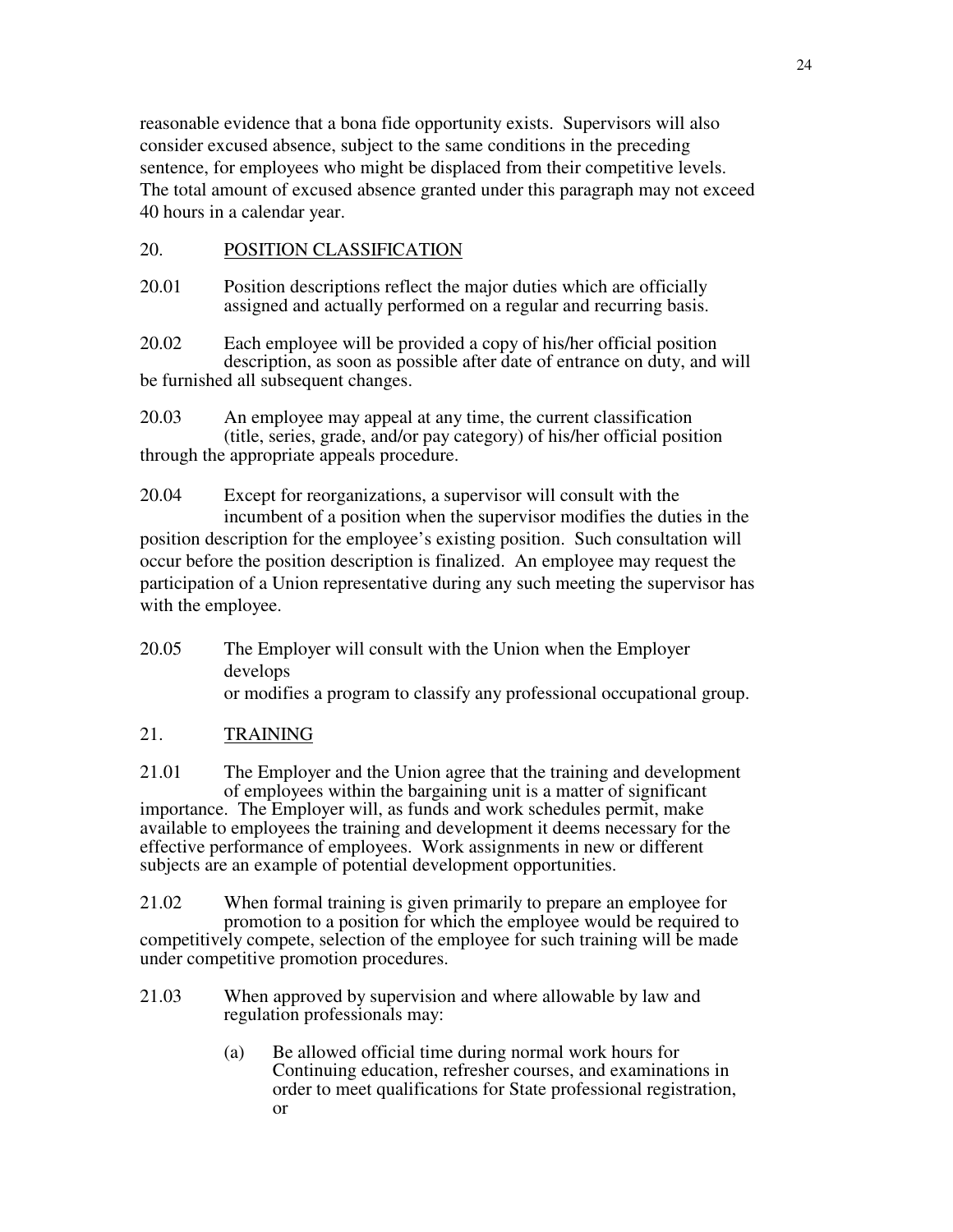reasonable evidence that a bona fide opportunity exists. Supervisors will also consider excused absence, subject to the same conditions in the preceding sentence, for employees who might be displaced from their competitive levels. The total amount of excused absence granted under this paragraph may not exceed 40 hours in a calendar year.

### 20. POSITION CLASSIFICATION

20.01 Position descriptions reflect the major duties which are officially assigned and actually performed on a regular and recurring basis.

20.02 Each employee will be provided a copy of his/her official position description, as soon as possible after date of entrance on duty, and will be furnished all subsequent changes.

20.03 An employee may appeal at any time, the current classification (title, series, grade, and/or pay category) of his/her official position through the appropriate appeals procedure.

20.04 Except for reorganizations, a supervisor will consult with the incumbent of a position when the supervisor modifies the duties in the position description for the employee's existing position. Such consultation will occur before the position description is finalized. An employee may request the participation of a Union representative during any such meeting the supervisor has with the employee.

20.05 The Employer will consult with the Union when the Employer develops or modifies a program to classify any professional occupational group.

## 21. TRAINING

21.01 The Employer and the Union agree that the training and development of employees within the bargaining unit is a matter of significant importance. The Employer will, as funds and work schedules permit, make available to employees the training and development it deems necessary for the effective performance of employees. Work assignments in new or different subjects are an example of potential development opportunities.

21.02 When formal training is given primarily to prepare an employee for promotion to a position for which the employee would be required to competitively compete, selection of the employee for such training will be made under competitive promotion procedures.

- 21.03 When approved by supervision and where allowable by law and regulation professionals may:
	- (a) Be allowed official time during normal work hours for Continuing education, refresher courses, and examinations in order to meet qualifications for State professional registration, or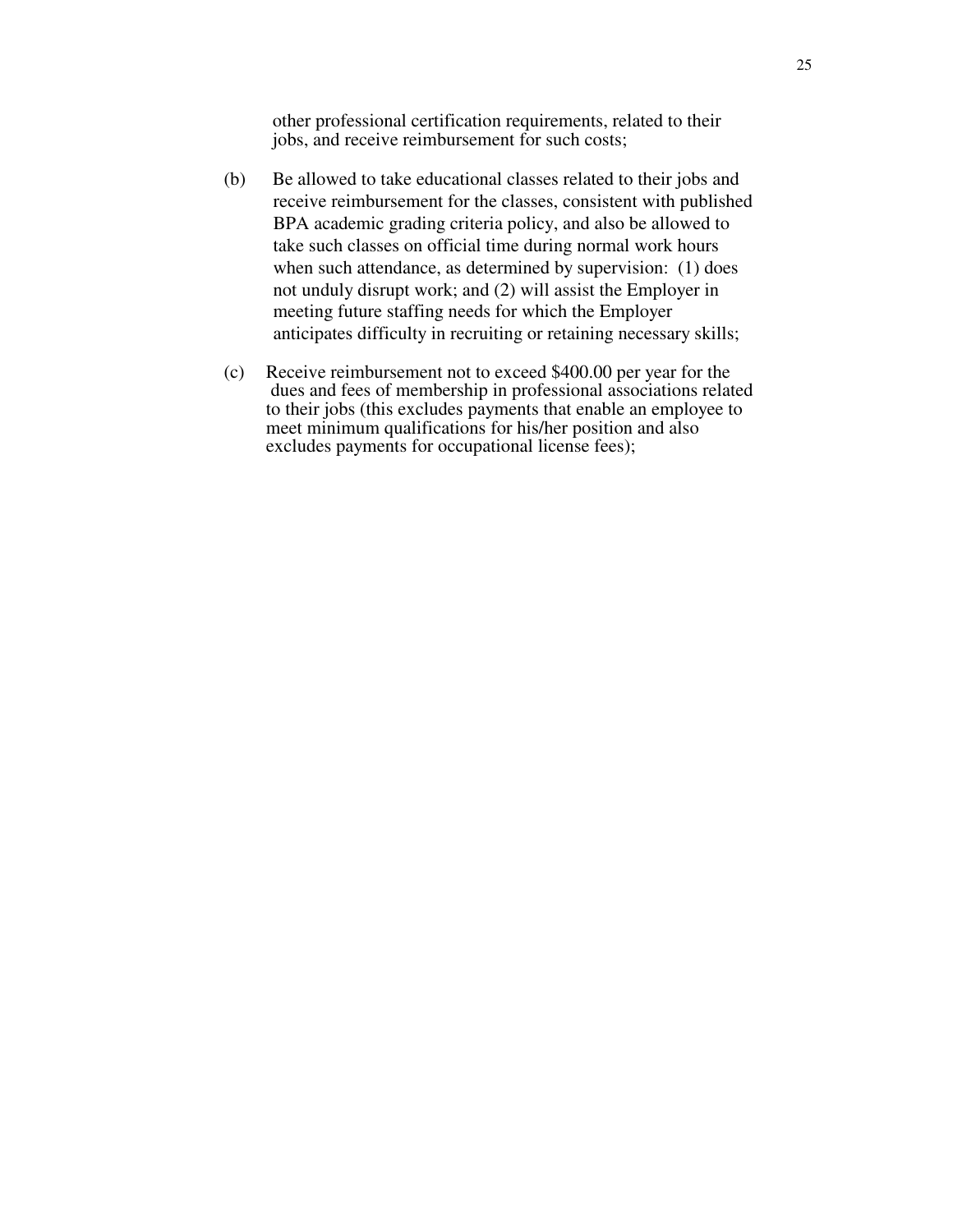other professional certification requirements, related to their jobs, and receive reimbursement for such costs;

- (b) Be allowed to take educational classes related to their jobs and receive reimbursement for the classes, consistent with published BPA academic grading criteria policy, and also be allowed to take such classes on official time during normal work hours when such attendance, as determined by supervision: (1) does not unduly disrupt work; and (2) will assist the Employer in meeting future staffing needs for which the Employer anticipates difficulty in recruiting or retaining necessary skills;
- (c) Receive reimbursement not to exceed \$400.00 per year for the dues and fees of membership in professional associations related to their jobs (this excludes payments that enable an employee to meet minimum qualifications for his/her position and also excludes payments for occupational license fees);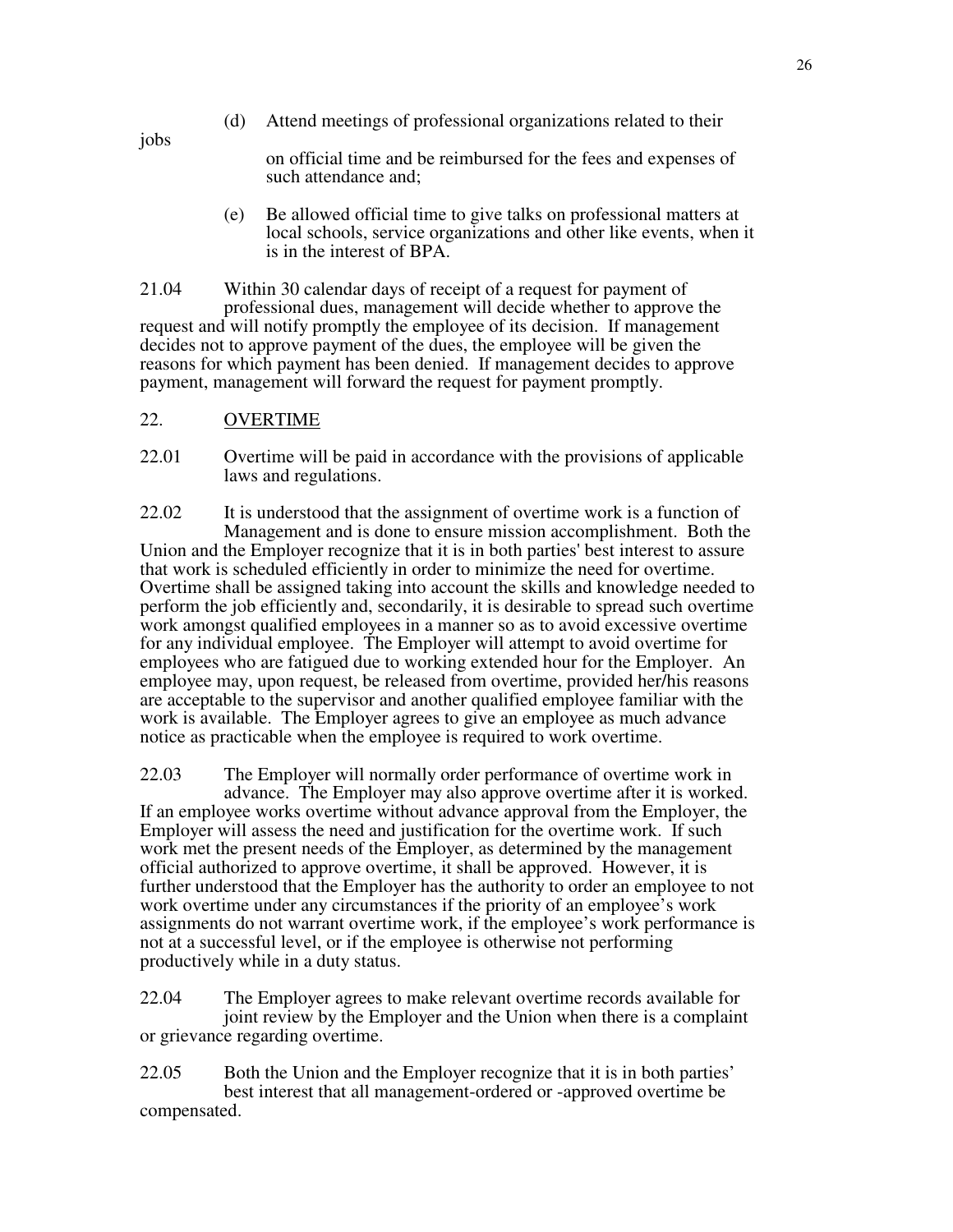jobs

(d) Attend meetings of professional organizations related to their

 on official time and be reimbursed for the fees and expenses of such attendance and;

 (e) Be allowed official time to give talks on professional matters at local schools, service organizations and other like events, when it is in the interest of BPA.

21.04 Within 30 calendar days of receipt of a request for payment of professional dues, management will decide whether to approve the request and will notify promptly the employee of its decision. If management decides not to approve payment of the dues, the employee will be given the reasons for which payment has been denied. If management decides to approve payment, management will forward the request for payment promptly.

- 22. OVERTIME
- 22.01 Overtime will be paid in accordance with the provisions of applicable laws and regulations.

22.02 It is understood that the assignment of overtime work is a function of Management and is done to ensure mission accomplishment. Both the Union and the Employer recognize that it is in both parties' best interest to assure that work is scheduled efficiently in order to minimize the need for overtime. Overtime shall be assigned taking into account the skills and knowledge needed to perform the job efficiently and, secondarily, it is desirable to spread such overtime work amongst qualified employees in a manner so as to avoid excessive overtime for any individual employee. The Employer will attempt to avoid overtime for employees who are fatigued due to working extended hour for the Employer. An employee may, upon request, be released from overtime, provided her/his reasons are acceptable to the supervisor and another qualified employee familiar with the work is available. The Employer agrees to give an employee as much advance notice as practicable when the employee is required to work overtime.

22.03 The Employer will normally order performance of overtime work in advance. The Employer may also approve overtime after it is worked. If an employee works overtime without advance approval from the Employer, the Employer will assess the need and justification for the overtime work. If such work met the present needs of the Employer, as determined by the management official authorized to approve overtime, it shall be approved. However, it is further understood that the Employer has the authority to order an employee to not work overtime under any circumstances if the priority of an employee's work assignments do not warrant overtime work, if the employee's work performance is not at a successful level, or if the employee is otherwise not performing productively while in a duty status.

22.04 The Employer agrees to make relevant overtime records available for joint review by the Employer and the Union when there is a complaint or grievance regarding overtime.

22.05 Both the Union and the Employer recognize that it is in both parties' best interest that all management-ordered or -approved overtime be compensated.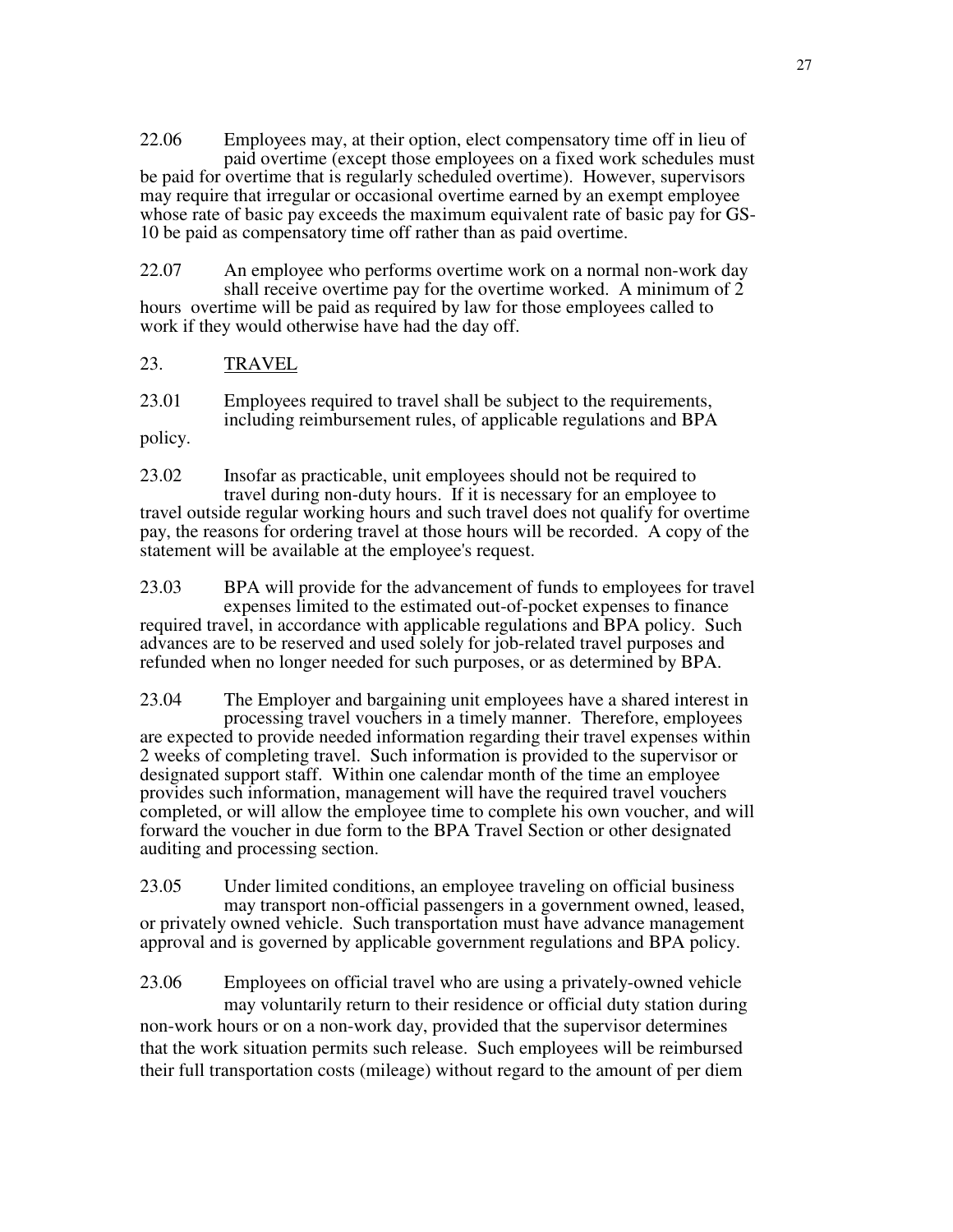22.06 Employees may, at their option, elect compensatory time off in lieu of paid overtime (except those employees on a fixed work schedules must be paid for overtime that is regularly scheduled overtime). However, supervisors may require that irregular or occasional overtime earned by an exempt employee whose rate of basic pay exceeds the maximum equivalent rate of basic pay for GS-10 be paid as compensatory time off rather than as paid overtime.

22.07 An employee who performs overtime work on a normal non-work day shall receive overtime pay for the overtime worked. A minimum of 2 hours overtime will be paid as required by law for those employees called to work if they would otherwise have had the day off.

#### 23. TRAVEL

23.01 Employees required to travel shall be subject to the requirements, including reimbursement rules, of applicable regulations and BPA

policy.

23.02 Insofar as practicable, unit employees should not be required to travel during non-duty hours. If it is necessary for an employee to travel outside regular working hours and such travel does not qualify for overtime pay, the reasons for ordering travel at those hours will be recorded. A copy of the statement will be available at the employee's request.

23.03 BPA will provide for the advancement of funds to employees for travel expenses limited to the estimated out-of-pocket expenses to finance required travel, in accordance with applicable regulations and BPA policy. Such advances are to be reserved and used solely for job-related travel purposes and refunded when no longer needed for such purposes, or as determined by BPA.

23.04 The Employer and bargaining unit employees have a shared interest in processing travel vouchers in a timely manner. Therefore, employees are expected to provide needed information regarding their travel expenses within 2 weeks of completing travel. Such information is provided to the supervisor or designated support staff. Within one calendar month of the time an employee provides such information, management will have the required travel vouchers completed, or will allow the employee time to complete his own voucher, and will forward the voucher in due form to the BPA Travel Section or other designated auditing and processing section.

23.05 Under limited conditions, an employee traveling on official business may transport non-official passengers in a government owned, leased, or privately owned vehicle. Such transportation must have advance management approval and is governed by applicable government regulations and BPA policy.

23.06 Employees on official travel who are using a privately-owned vehicle may voluntarily return to their residence or official duty station during non-work hours or on a non-work day, provided that the supervisor determines that the work situation permits such release. Such employees will be reimbursed their full transportation costs (mileage) without regard to the amount of per diem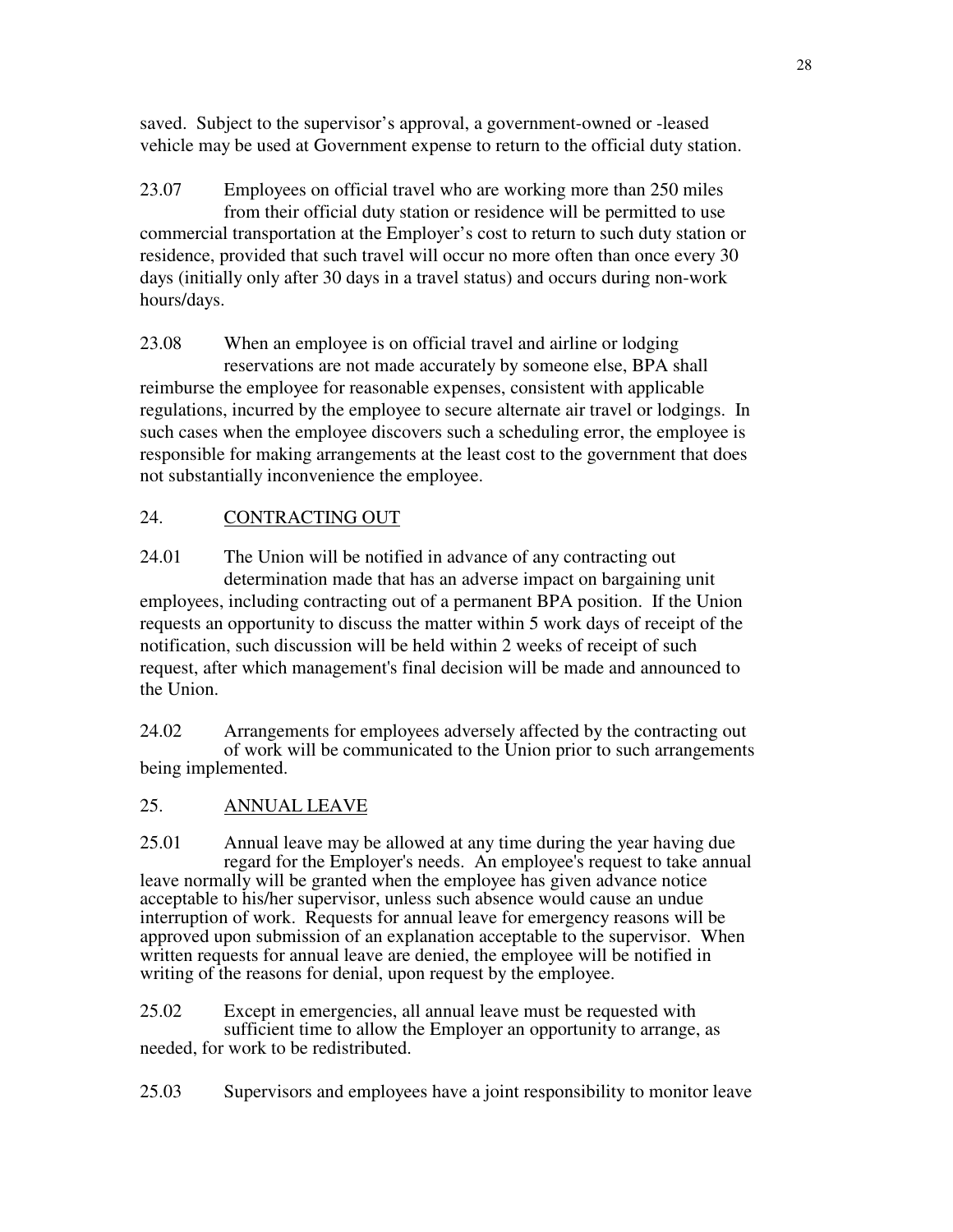saved. Subject to the supervisor's approval, a government-owned or -leased vehicle may be used at Government expense to return to the official duty station.

23.07 Employees on official travel who are working more than 250 miles from their official duty station or residence will be permitted to use commercial transportation at the Employer's cost to return to such duty station or residence, provided that such travel will occur no more often than once every 30 days (initially only after 30 days in a travel status) and occurs during non-work hours/days.

23.08 When an employee is on official travel and airline or lodging reservations are not made accurately by someone else, BPA shall reimburse the employee for reasonable expenses, consistent with applicable regulations, incurred by the employee to secure alternate air travel or lodgings. In such cases when the employee discovers such a scheduling error, the employee is responsible for making arrangements at the least cost to the government that does not substantially inconvenience the employee.

# 24. CONTRACTING OUT

24.01 The Union will be notified in advance of any contracting out determination made that has an adverse impact on bargaining unit employees, including contracting out of a permanent BPA position. If the Union requests an opportunity to discuss the matter within 5 work days of receipt of the notification, such discussion will be held within 2 weeks of receipt of such request, after which management's final decision will be made and announced to the Union.

24.02 Arrangements for employees adversely affected by the contracting out of work will be communicated to the Union prior to such arrangements being implemented.

# 25. ANNUAL LEAVE

25.01 Annual leave may be allowed at any time during the year having due regard for the Employer's needs. An employee's request to take annual leave normally will be granted when the employee has given advance notice acceptable to his/her supervisor, unless such absence would cause an undue interruption of work. Requests for annual leave for emergency reasons will be approved upon submission of an explanation acceptable to the supervisor. When written requests for annual leave are denied, the employee will be notified in writing of the reasons for denial, upon request by the employee.

25.02 Except in emergencies, all annual leave must be requested with sufficient time to allow the Employer an opportunity to arrange, as needed, for work to be redistributed.

25.03 Supervisors and employees have a joint responsibility to monitor leave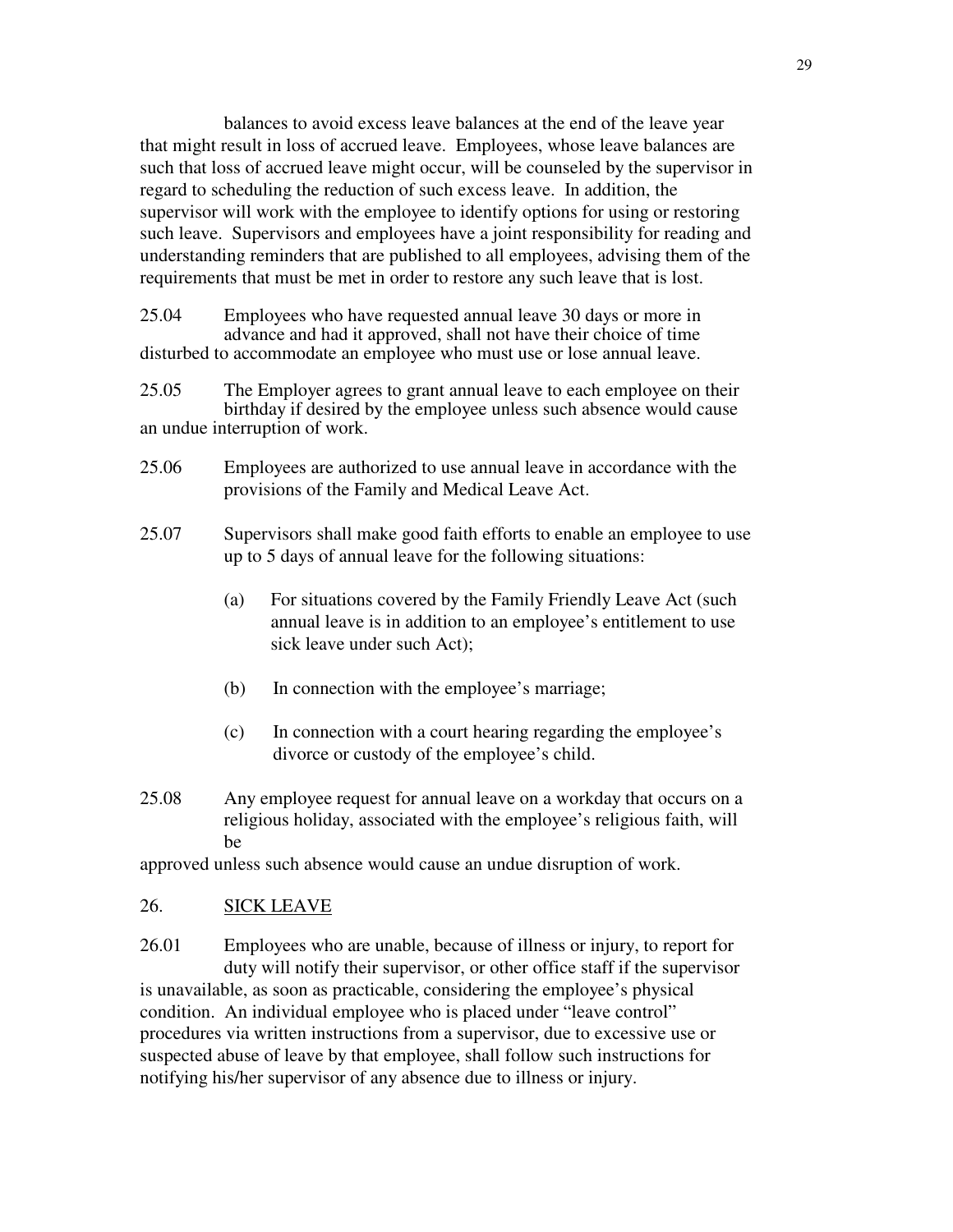balances to avoid excess leave balances at the end of the leave year that might result in loss of accrued leave. Employees, whose leave balances are such that loss of accrued leave might occur, will be counseled by the supervisor in regard to scheduling the reduction of such excess leave. In addition, the supervisor will work with the employee to identify options for using or restoring such leave. Supervisors and employees have a joint responsibility for reading and understanding reminders that are published to all employees, advising them of the requirements that must be met in order to restore any such leave that is lost.

25.04 Employees who have requested annual leave 30 days or more in advance and had it approved, shall not have their choice of time disturbed to accommodate an employee who must use or lose annual leave.

25.05 The Employer agrees to grant annual leave to each employee on their birthday if desired by the employee unless such absence would cause an undue interruption of work.

- 25.06 Employees are authorized to use annual leave in accordance with the provisions of the Family and Medical Leave Act.
- 25.07 Supervisors shall make good faith efforts to enable an employee to use up to 5 days of annual leave for the following situations:
	- (a) For situations covered by the Family Friendly Leave Act (such annual leave is in addition to an employee's entitlement to use sick leave under such Act);
	- (b) In connection with the employee's marriage;
	- (c) In connection with a court hearing regarding the employee's divorce or custody of the employee's child.
- 25.08 Any employee request for annual leave on a workday that occurs on a religious holiday, associated with the employee's religious faith, will be

approved unless such absence would cause an undue disruption of work.

#### 26. SICK LEAVE

26.01 Employees who are unable, because of illness or injury, to report for duty will notify their supervisor, or other office staff if the supervisor is unavailable, as soon as practicable, considering the employee's physical condition. An individual employee who is placed under "leave control" procedures via written instructions from a supervisor, due to excessive use or suspected abuse of leave by that employee, shall follow such instructions for notifying his/her supervisor of any absence due to illness or injury.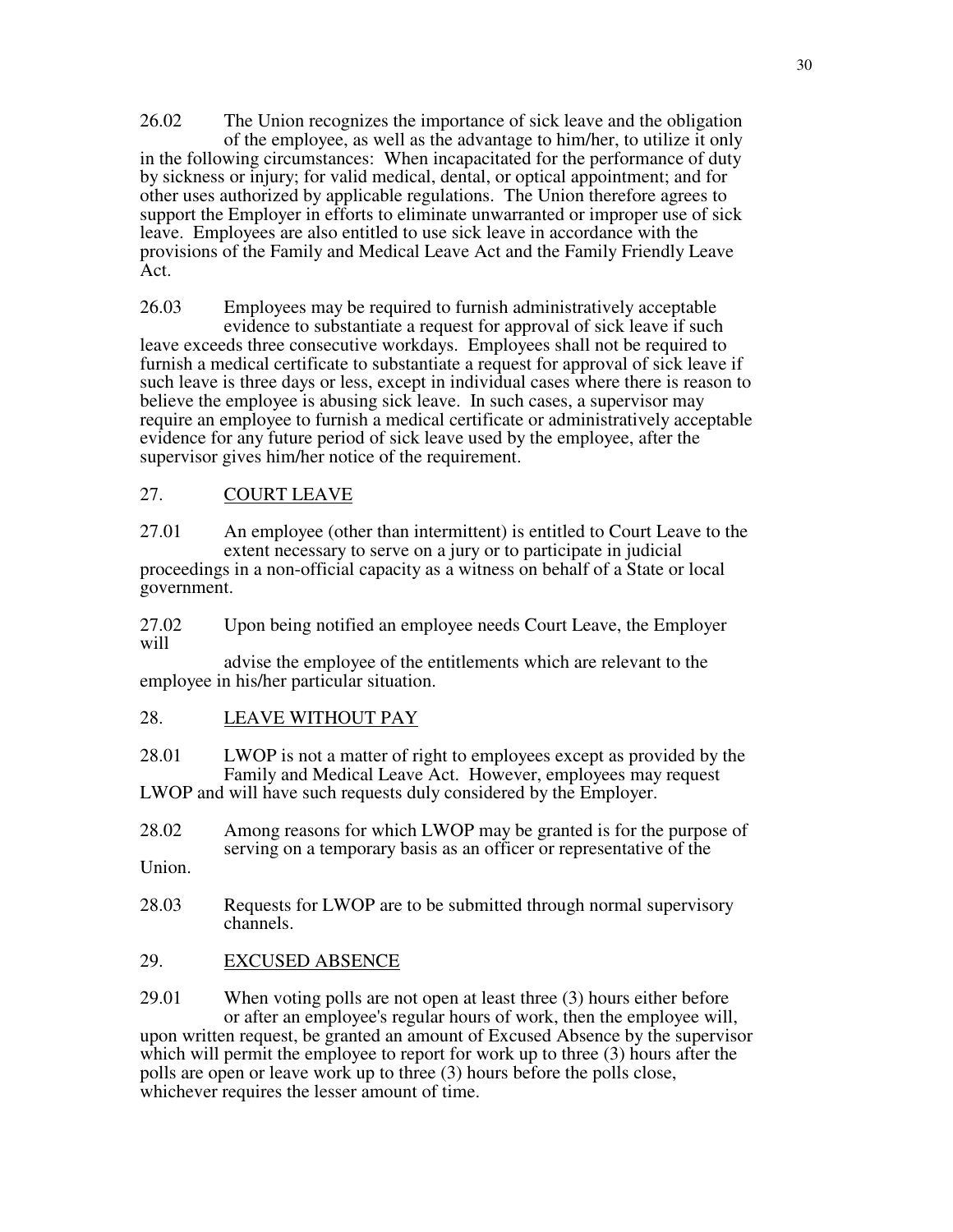26.02 The Union recognizes the importance of sick leave and the obligation of the employee, as well as the advantage to him/her, to utilize it only in the following circumstances: When incapacitated for the performance of duty by sickness or injury; for valid medical, dental, or optical appointment; and for other uses authorized by applicable regulations. The Union therefore agrees to support the Employer in efforts to eliminate unwarranted or improper use of sick leave. Employees are also entitled to use sick leave in accordance with the provisions of the Family and Medical Leave Act and the Family Friendly Leave Act.

26.03 Employees may be required to furnish administratively acceptable evidence to substantiate a request for approval of sick leave if such leave exceeds three consecutive workdays. Employees shall not be required to furnish a medical certificate to substantiate a request for approval of sick leave if such leave is three days or less, except in individual cases where there is reason to believe the employee is abusing sick leave. In such cases, a supervisor may require an employee to furnish a medical certificate or administratively acceptable evidence for any future period of sick leave used by the employee, after the supervisor gives him/her notice of the requirement.

## 27. COURT LEAVE

27.01 An employee (other than intermittent) is entitled to Court Leave to the extent necessary to serve on a jury or to participate in judicial proceedings in a non-official capacity as a witness on behalf of a State or local government.

27.02 Upon being notified an employee needs Court Leave, the Employer will

 advise the employee of the entitlements which are relevant to the employee in his/her particular situation.

28. LEAVE WITHOUT PAY

28.01 LWOP is not a matter of right to employees except as provided by the Family and Medical Leave Act. However, employees may request LWOP and will have such requests duly considered by the Employer.

28.02 Among reasons for which LWOP may be granted is for the purpose of serving on a temporary basis as an officer or representative of the

Union.

- 28.03 Requests for LWOP are to be submitted through normal supervisory channels.
- 29. EXCUSED ABSENCE

29.01 When voting polls are not open at least three (3) hours either before or after an employee's regular hours of work, then the employee will, upon written request, be granted an amount of Excused Absence by the supervisor which will permit the employee to report for work up to three (3) hours after the polls are open or leave work up to three (3) hours before the polls close, whichever requires the lesser amount of time.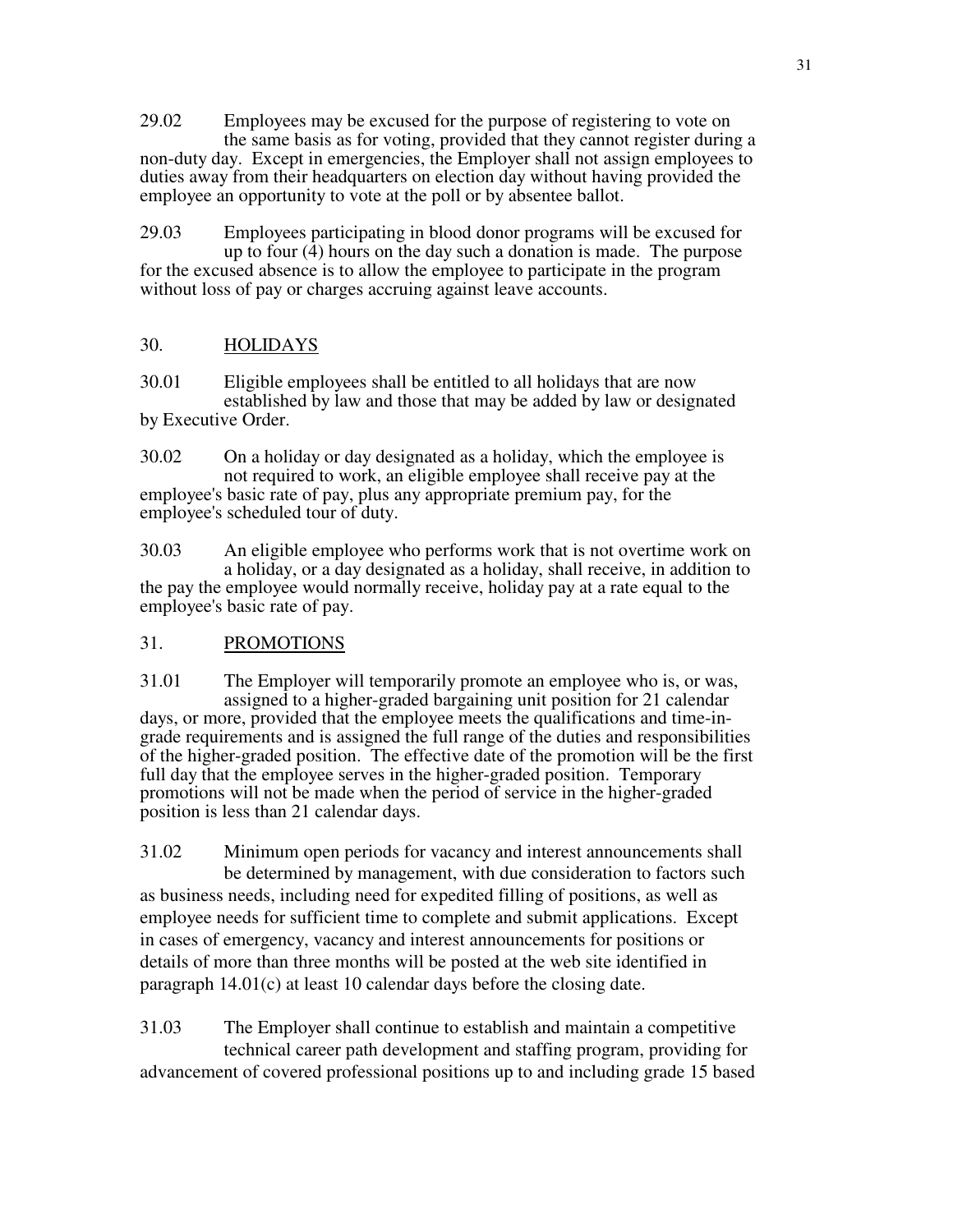29.02 Employees may be excused for the purpose of registering to vote on the same basis as for voting, provided that they cannot register during a non-duty day. Except in emergencies, the Employer shall not assign employees to duties away from their headquarters on election day without having provided the employee an opportunity to vote at the poll or by absentee ballot.

29.03 Employees participating in blood donor programs will be excused for up to four  $(\overline{4})$  hours on the day such a donation is made. The purpose for the excused absence is to allow the employee to participate in the program without loss of pay or charges accruing against leave accounts.

## 30. HOLIDAYS

30.01 Eligible employees shall be entitled to all holidays that are now established by law and those that may be added by law or designated by Executive Order.

30.02 On a holiday or day designated as a holiday, which the employee is not required to work, an eligible employee shall receive pay at the employee's basic rate of pay, plus any appropriate premium pay, for the employee's scheduled tour of duty.

30.03 An eligible employee who performs work that is not overtime work on a holiday, or a day designated as a holiday, shall receive, in addition to the pay the employee would normally receive, holiday pay at a rate equal to the employee's basic rate of pay.

# 31. PROMOTIONS

31.01 The Employer will temporarily promote an employee who is, or was, assigned to a higher-graded bargaining unit position for 21 calendar days, or more, provided that the employee meets the qualifications and time-ingrade requirements and is assigned the full range of the duties and responsibilities of the higher-graded position. The effective date of the promotion will be the first full day that the employee serves in the higher-graded position. Temporary promotions will not be made when the period of service in the higher-graded position is less than 21 calendar days.

31.02 Minimum open periods for vacancy and interest announcements shall be determined by management, with due consideration to factors such as business needs, including need for expedited filling of positions, as well as employee needs for sufficient time to complete and submit applications. Except in cases of emergency, vacancy and interest announcements for positions or details of more than three months will be posted at the web site identified in paragraph 14.01(c) at least 10 calendar days before the closing date.

31.03 The Employer shall continue to establish and maintain a competitive technical career path development and staffing program, providing for advancement of covered professional positions up to and including grade 15 based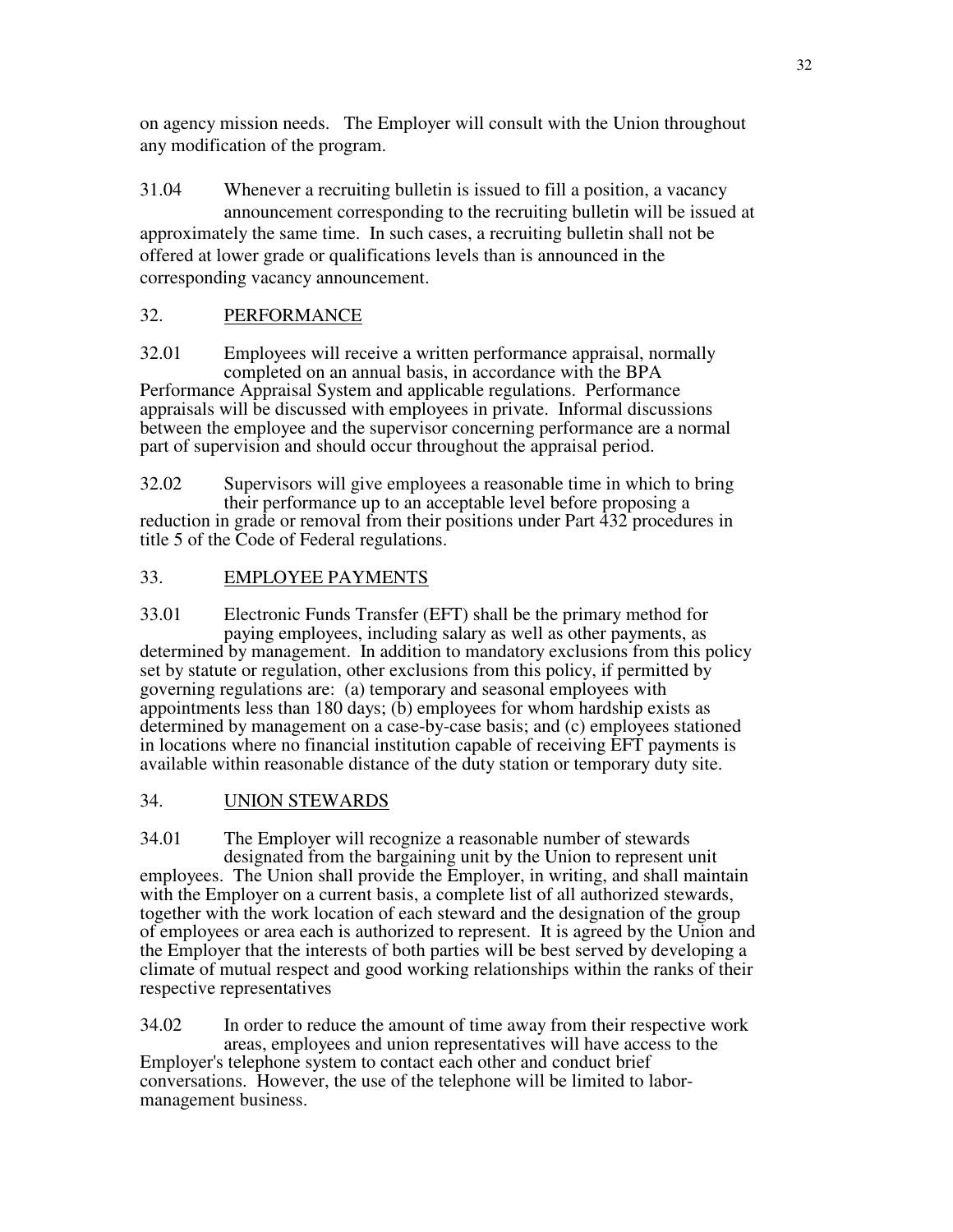on agency mission needs. The Employer will consult with the Union throughout any modification of the program.

31.04 Whenever a recruiting bulletin is issued to fill a position, a vacancy announcement corresponding to the recruiting bulletin will be issued at approximately the same time. In such cases, a recruiting bulletin shall not be offered at lower grade or qualifications levels than is announced in the corresponding vacancy announcement.

# 32. PERFORMANCE

32.01 Employees will receive a written performance appraisal, normally completed on an annual basis, in accordance with the BPA Performance Appraisal System and applicable regulations. Performance appraisals will be discussed with employees in private. Informal discussions between the employee and the supervisor concerning performance are a normal part of supervision and should occur throughout the appraisal period.

32.02 Supervisors will give employees a reasonable time in which to bring their performance up to an acceptable level before proposing a reduction in grade or removal from their positions under Part 432 procedures in title 5 of the Code of Federal regulations.

# 33. EMPLOYEE PAYMENTS

33.01 Electronic Funds Transfer (EFT) shall be the primary method for paying employees, including salary as well as other payments, as determined by management. In addition to mandatory exclusions from this policy set by statute or regulation, other exclusions from this policy, if permitted by governing regulations are: (a) temporary and seasonal employees with appointments less than 180 days; (b) employees for whom hardship exists as determined by management on a case-by-case basis; and (c) employees stationed in locations where no financial institution capable of receiving EFT payments is available within reasonable distance of the duty station or temporary duty site.

# 34. UNION STEWARDS

34.01 The Employer will recognize a reasonable number of stewards designated from the bargaining unit by the Union to represent unit employees. The Union shall provide the Employer, in writing, and shall maintain with the Employer on a current basis, a complete list of all authorized stewards, together with the work location of each steward and the designation of the group of employees or area each is authorized to represent. It is agreed by the Union and the Employer that the interests of both parties will be best served by developing a climate of mutual respect and good working relationships within the ranks of their respective representatives

34.02 In order to reduce the amount of time away from their respective work areas, employees and union representatives will have access to the Employer's telephone system to contact each other and conduct brief conversations. However, the use of the telephone will be limited to labormanagement business.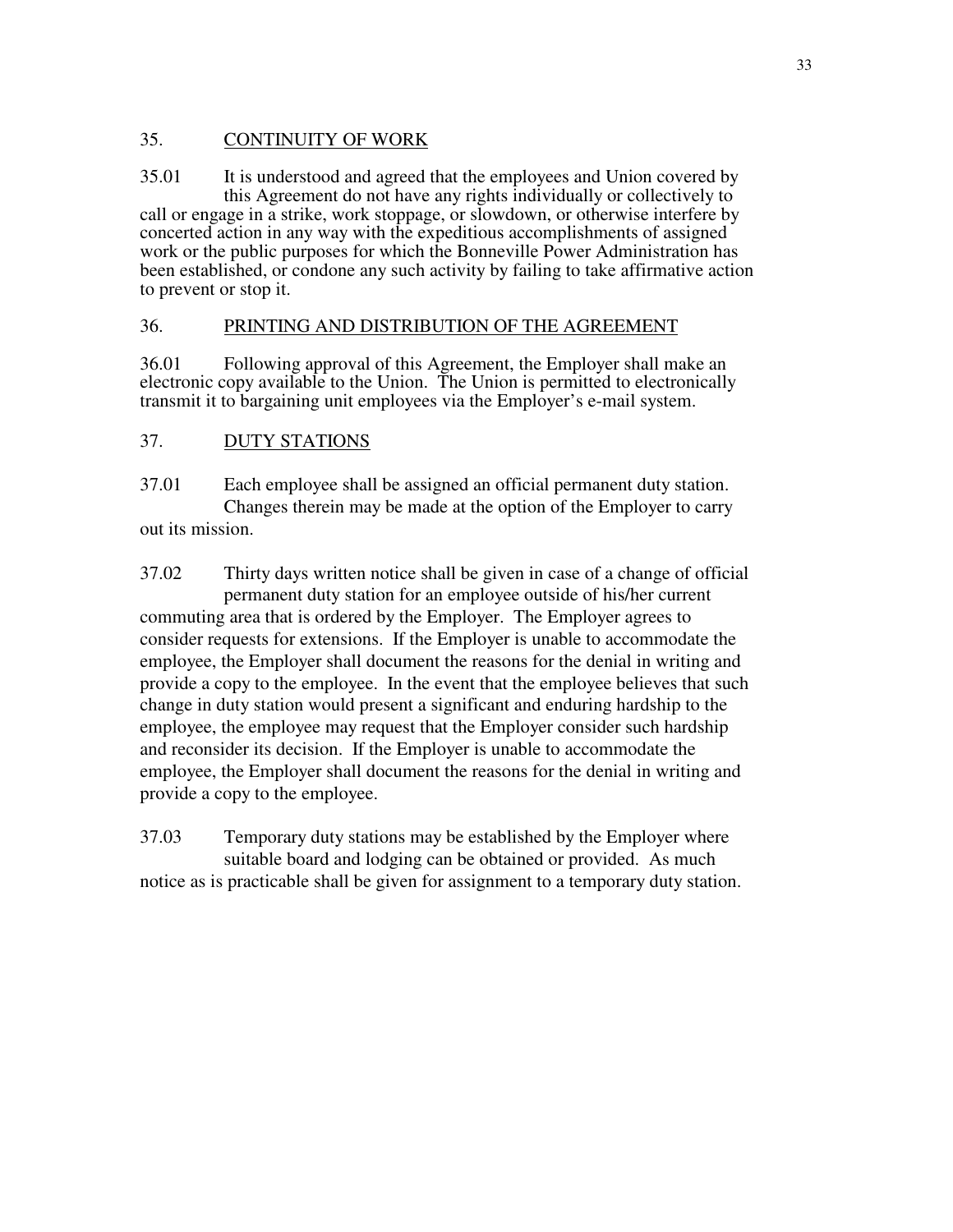## 35. CONTINUITY OF WORK

35.01 It is understood and agreed that the employees and Union covered by this Agreement do not have any rights individually or collectively to call or engage in a strike, work stoppage, or slowdown, or otherwise interfere by concerted action in any way with the expeditious accomplishments of assigned work or the public purposes for which the Bonneville Power Administration has been established, or condone any such activity by failing to take affirmative action to prevent or stop it.

## 36. PRINTING AND DISTRIBUTION OF THE AGREEMENT

36.01 Following approval of this Agreement, the Employer shall make an electronic copy available to the Union. The Union is permitted to electronically transmit it to bargaining unit employees via the Employer's e-mail system.

# 37. DUTY STATIONS

37.01 Each employee shall be assigned an official permanent duty station. Changes therein may be made at the option of the Employer to carry out its mission.

37.02 Thirty days written notice shall be given in case of a change of official permanent duty station for an employee outside of his/her current commuting area that is ordered by the Employer. The Employer agrees to consider requests for extensions. If the Employer is unable to accommodate the employee, the Employer shall document the reasons for the denial in writing and provide a copy to the employee. In the event that the employee believes that such change in duty station would present a significant and enduring hardship to the employee, the employee may request that the Employer consider such hardship and reconsider its decision. If the Employer is unable to accommodate the employee, the Employer shall document the reasons for the denial in writing and provide a copy to the employee.

37.03 Temporary duty stations may be established by the Employer where suitable board and lodging can be obtained or provided. As much notice as is practicable shall be given for assignment to a temporary duty station.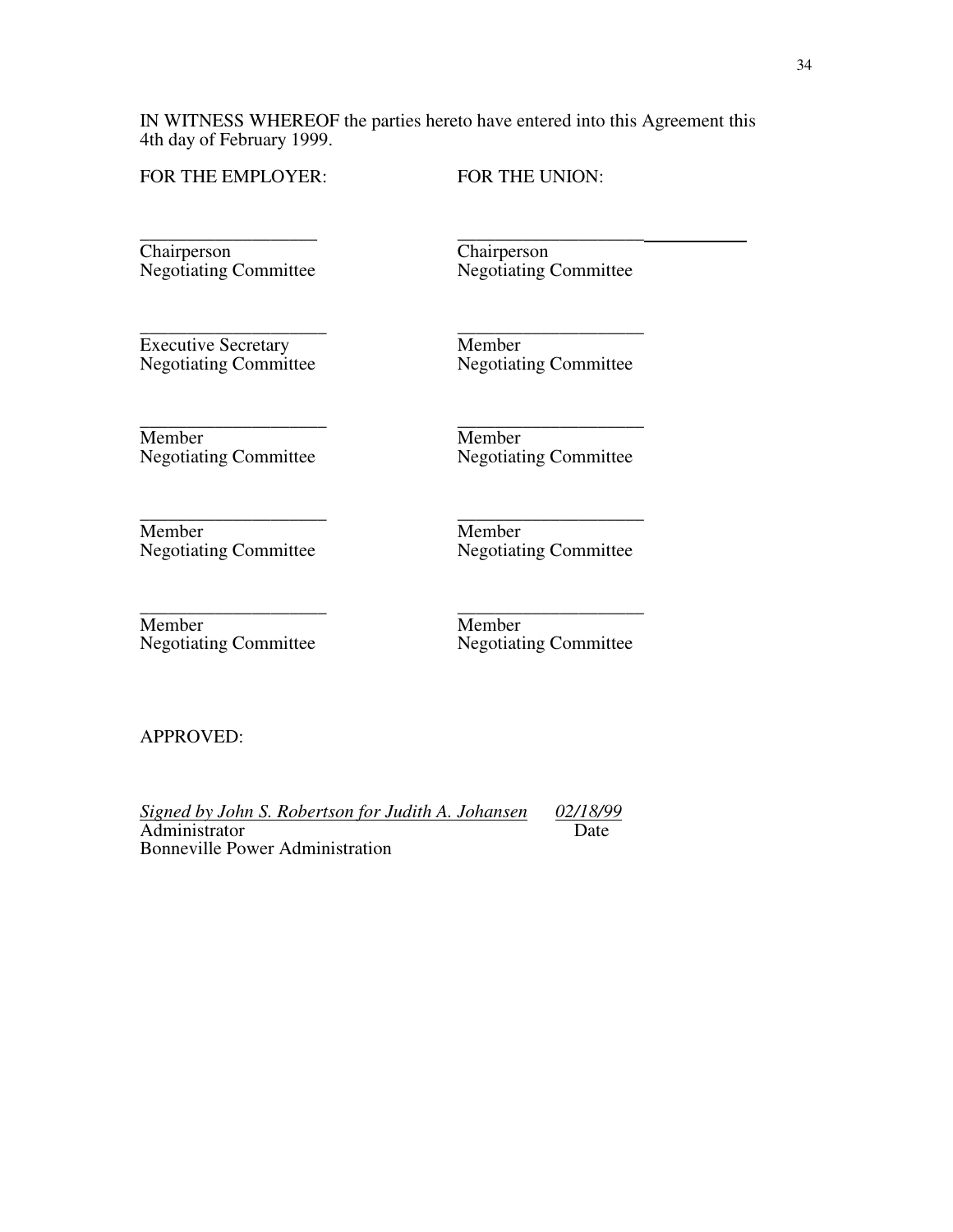IN WITNESS WHEREOF the parties hereto have entered into this Agreement this 4th day of February 1999.

\_\_\_\_\_\_\_\_\_\_\_\_\_\_\_\_\_\_\_\_ \_\_\_\_\_\_\_\_\_\_\_\_\_\_\_\_\_\_\_\_

\_\_\_\_\_\_\_\_\_\_\_\_\_\_\_\_\_\_\_\_ \_\_\_\_\_\_\_\_\_\_\_\_\_\_\_\_\_\_\_\_

\_\_\_\_\_\_\_\_\_\_\_\_\_\_\_\_\_\_\_\_ \_\_\_\_\_\_\_\_\_\_\_\_\_\_\_\_\_\_\_\_

FOR THE EMPLOYER: FOR THE UNION:

\_\_\_\_\_\_\_\_\_\_\_\_\_\_\_\_\_\_\_ \_\_\_\_\_\_\_\_\_\_\_\_\_\_\_\_\_\_\_\_ Chairperson<br>
Negotiating Committee<br>
Negotiating Committee

Negotiating Committee

\_\_\_\_\_\_\_\_\_\_\_\_\_\_\_\_\_\_\_\_ \_\_\_\_\_\_\_\_\_\_\_\_\_\_\_\_\_\_\_\_ Executive Secretary<br>
Negotiating Committee Regotiating

Negotiating Committee

Member<br>
Negotiating Committee Regotiating<br>
Negotiating Committee Regotiating

Negotiating Committee

Member<br>
Negotiating Committee Megotiatin<br>
Negotiatin

Negotiating Committee

Member<br>
Negotiating Committee Megotiating<br>
Negotiating Committee Negotiating Committee Negotiating Register Negotiating Register Negotiating Register Negotiating Register Negotiating Register Negotiating Register Negotiati

Negotiating Committee

APPROVED:

*Signed by John S. Robertson for Judith A. Johansen 02/18/99* Administrator Bonneville Power Administration